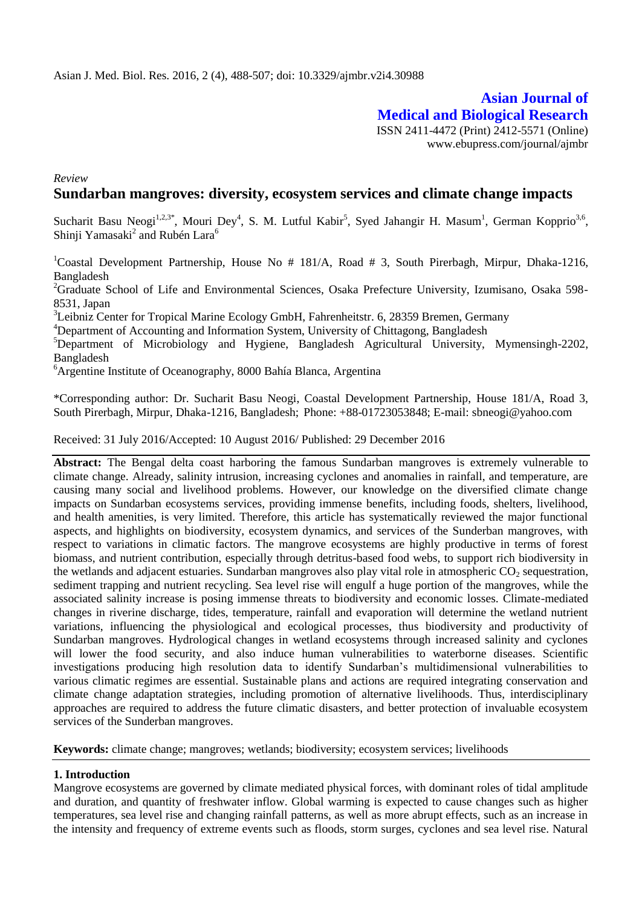# **Asian Journal of Medical and Biological Research** ISSN 2411-4472 (Print) 2412-5571 (Online)

www.ebupress.com/journal/ajmbr

*Review*

# **Sundarban mangroves: diversity, ecosystem services and climate change impacts**

Sucharit Basu Neogi<sup>1,2,3\*</sup>, Mouri Dey<sup>4</sup>, S. M. Lutful Kabir<sup>5</sup>, Syed Jahangir H. Masum<sup>1</sup>, German Kopprio<sup>3,6</sup>, Shinji Yamasaki<sup>2</sup> and Rubén Lara<sup>6</sup>

<sup>1</sup>Coastal Development Partnership, House No  $\#$  181/A, Road  $\#$  3, South Pirerbagh, Mirpur, Dhaka-1216, Bangladesh

<sup>2</sup>Graduate School of Life and Environmental Sciences, Osaka Prefecture University, Izumisano, Osaka 598-8531, Japan

<sup>3</sup>Leibniz Center for Tropical Marine Ecology GmbH, Fahrenheitstr. 6, 28359 Bremen, Germany

<sup>4</sup>Department of Accounting and Information System, University of Chittagong, Bangladesh

<sup>5</sup>Department of Microbiology and Hygiene, Bangladesh Agricultural University, Mymensingh-2202, Bangladesh

<sup>6</sup>Argentine Institute of Oceanography, 8000 Bahía Blanca, Argentina

\*Corresponding author: Dr. Sucharit Basu Neogi, Coastal Development Partnership, House 181/A, Road 3, South Pirerbagh, Mirpur, Dhaka-1216, Bangladesh; Phone: +88-01723053848; E-mail: sbneogi@yahoo.com

Received: 31 July 2016/Accepted: 10 August 2016/ Published: 29 December 2016

**Abstract:** The Bengal delta coast harboring the famous Sundarban mangroves is extremely vulnerable to climate change. Already, salinity intrusion, increasing cyclones and anomalies in rainfall, and temperature, are causing many social and livelihood problems. However, our knowledge on the diversified climate change impacts on Sundarban ecosystems services, providing immense benefits, including foods, shelters, livelihood, and health amenities, is very limited. Therefore, this article has systematically reviewed the major functional aspects, and highlights on biodiversity, ecosystem dynamics, and services of the Sunderban mangroves, with respect to variations in climatic factors. The mangrove ecosystems are highly productive in terms of forest biomass, and nutrient contribution, especially through detritus-based food webs, to support rich biodiversity in the wetlands and adjacent estuaries. Sundarban mangroves also play vital role in atmospheric  $CO<sub>2</sub>$  sequestration, sediment trapping and nutrient recycling. Sea level rise will engulf a huge portion of the mangroves, while the associated salinity increase is posing immense threats to biodiversity and economic losses. Climate-mediated changes in riverine discharge, tides, temperature, rainfall and evaporation will determine the wetland nutrient variations, influencing the physiological and ecological processes, thus biodiversity and productivity of Sundarban mangroves. Hydrological changes in wetland ecosystems through increased salinity and cyclones will lower the food security, and also induce human vulnerabilities to waterborne diseases. Scientific investigations producing high resolution data to identify Sundarban"s multidimensional vulnerabilities to various climatic regimes are essential. Sustainable plans and actions are required integrating conservation and climate change adaptation strategies, including promotion of alternative livelihoods. Thus, interdisciplinary approaches are required to address the future climatic disasters, and better protection of invaluable ecosystem services of the Sunderban mangroves.

**Keywords:** climate change; mangroves; wetlands; biodiversity; ecosystem services; livelihoods

## **1. Introduction**

Mangrove ecosystems are governed by climate mediated physical forces, with dominant roles of tidal amplitude and duration, and quantity of freshwater inflow. Global warming is expected to cause changes such as higher temperatures, sea level rise and changing rainfall patterns, as well as more abrupt effects, such as an increase in the intensity and frequency of extreme events such as floods, storm surges, cyclones and sea level rise. Natural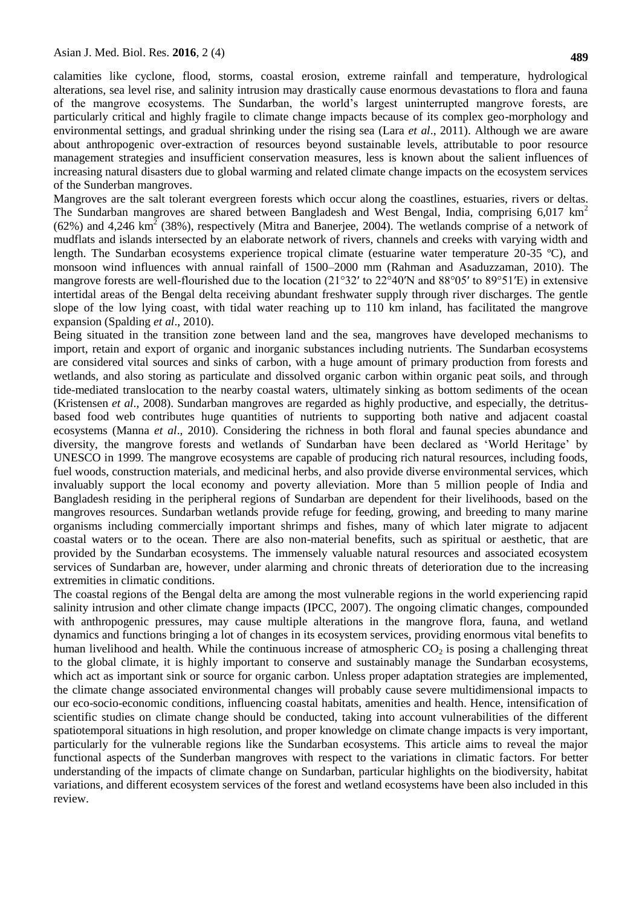environmental settings, and gradual shrinking under the rising sea (Lara *et al*., 2011). Although we are aware about anthropogenic over-extraction of resources beyond sustainable levels, attributable to poor resource management strategies and insufficient conservation measures, less is known about the salient influences of increasing natural disasters due to global warming and related climate change impacts on the ecosystem services of the Sunderban mangroves.

Mangroves are the salt tolerant evergreen forests which occur along the coastlines, estuaries, rivers or deltas. The Sundarban mangroves are shared between Bangladesh and West Bengal, India, comprising  $6.017 \text{ km}^2$  $(62%)$  and 4,246 km<sup>2</sup> (38%), respectively (Mitra and Banerjee, 2004). The wetlands comprise of a network of mudflats and islands intersected by an elaborate network of rivers, channels and creeks with varying width and length. The Sundarban ecosystems experience tropical climate (estuarine water temperature 20-35 ºC), and monsoon wind influences with annual rainfall of 1500–2000 mm (Rahman and Asaduzzaman, 2010). The mangrove forests are well-flourished due to the location (21°32′ to 22°40′N and 88°05′ to 89°51′E) in extensive intertidal areas of the Bengal delta receiving abundant freshwater supply through river discharges. The gentle slope of the low lying coast, with tidal water reaching up to 110 km inland, has facilitated the mangrove expansion (Spalding *et al*., 2010).

Being situated in the transition zone between land and the sea, mangroves have developed mechanisms to import, retain and export of organic and inorganic substances including nutrients. The Sundarban ecosystems are considered vital sources and sinks of carbon, with a huge amount of primary production from forests and wetlands, and also storing as particulate and dissolved organic carbon within organic peat soils, and through tide-mediated translocation to the nearby coastal waters, ultimately sinking as bottom sediments of the ocean (Kristensen *et al*., 2008). Sundarban mangroves are regarded as highly productive, and especially, the detritusbased food web contributes huge quantities of nutrients to supporting both native and adjacent coastal ecosystems (Manna *et al*., 2010). Considering the richness in both floral and faunal species abundance and diversity, the mangrove forests and wetlands of Sundarban have been declared as "World Heritage" by UNESCO in 1999. The mangrove ecosystems are capable of producing rich natural resources, including foods, fuel woods, construction materials, and medicinal herbs, and also provide diverse environmental services, which invaluably support the local economy and poverty alleviation. More than 5 million people of India and Bangladesh residing in the peripheral regions of Sundarban are dependent for their livelihoods, based on the mangroves resources. Sundarban wetlands provide refuge for feeding, growing, and breeding to many marine organisms including commercially important shrimps and fishes, many of which later migrate to adjacent coastal waters or to the ocean. There are also non-material benefits, such as spiritual or aesthetic, that are provided by the Sundarban ecosystems. The immensely valuable natural resources and associated ecosystem services of Sundarban are, however, under alarming and chronic threats of deterioration due to the increasing extremities in climatic conditions.

The coastal regions of the Bengal delta are among the most vulnerable regions in the world experiencing rapid salinity intrusion and other climate change impacts (IPCC, 2007). The ongoing climatic changes, compounded with anthropogenic pressures, may cause multiple alterations in the mangrove flora, fauna, and wetland dynamics and functions bringing a lot of changes in its ecosystem services, providing enormous vital benefits to human livelihood and health. While the continuous increase of atmospheric  $CO<sub>2</sub>$  is posing a challenging threat to the global climate, it is highly important to conserve and sustainably manage the Sundarban ecosystems, which act as important sink or source for organic carbon. Unless proper adaptation strategies are implemented, the climate change associated environmental changes will probably cause severe multidimensional impacts to our eco-socio-economic conditions, influencing coastal habitats, amenities and health. Hence, intensification of scientific studies on climate change should be conducted, taking into account vulnerabilities of the different spatiotemporal situations in high resolution, and proper knowledge on climate change impacts is very important, particularly for the vulnerable regions like the Sundarban ecosystems. This article aims to reveal the major functional aspects of the Sunderban mangroves with respect to the variations in climatic factors. For better understanding of the impacts of climate change on Sundarban, particular highlights on the biodiversity, habitat variations, and different ecosystem services of the forest and wetland ecosystems have been also included in this review.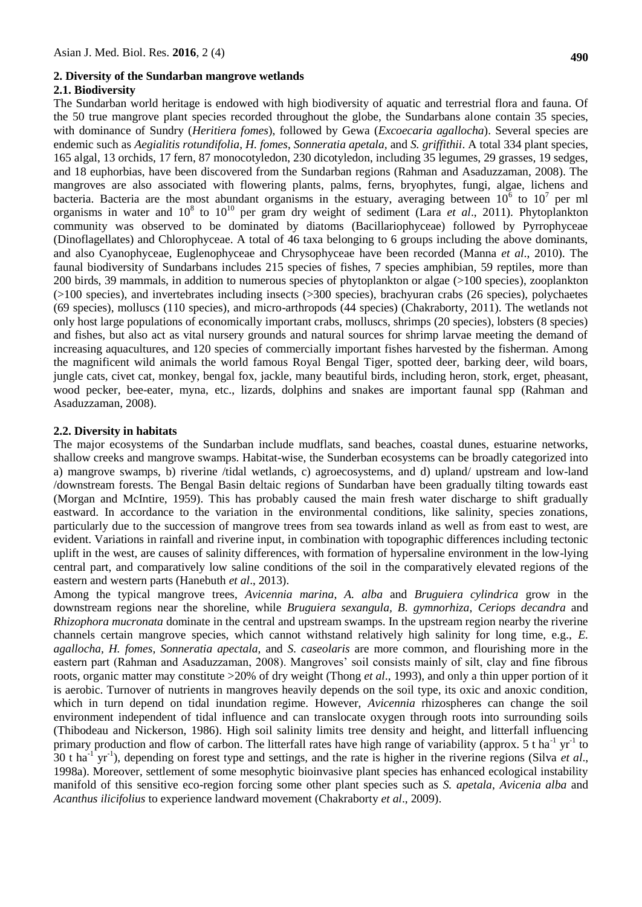# **2. Diversity of the Sundarban mangrove wetlands**

#### **2.1. Biodiversity**

The Sundarban world heritage is endowed with high biodiversity of aquatic and terrestrial flora and fauna. Of the 50 true mangrove plant species recorded throughout the globe, the Sundarbans alone contain 35 species, with dominance of Sundry (*Heritiera fomes*), followed by Gewa (*Excoecaria agallocha*). Several species are endemic such as *Aegialitis rotundifolia*, *H. fomes*, *Sonneratia apetala,* and *S. griffithii*. A total 334 plant species, 165 algal, 13 orchids, 17 fern, 87 monocotyledon, 230 dicotyledon, including 35 legumes, 29 grasses, 19 sedges, and 18 euphorbias, have been discovered from the Sundarban regions (Rahman and Asaduzzaman, 2008). The mangroves are also associated with flowering plants, palms, ferns, bryophytes, fungi, algae, lichens and bacteria. Bacteria are the most abundant organisms in the estuary, averaging between  $10^6$  to  $10^7$  per ml organisms in water and  $10^8$  to  $10^{10}$  per gram dry weight of sediment (Lara *et al.*, 2011). Phytoplankton community was observed to be dominated by diatoms (Bacillariophyceae) followed by Pyrrophyceae (Dinoflagellates) and Chlorophyceae. A total of 46 taxa belonging to 6 groups including the above dominants, and also Cyanophyceae, Euglenophyceae and Chrysophyceae have been recorded (Manna *et al*., 2010). The faunal biodiversity of Sundarbans includes 215 species of fishes, 7 species amphibian, 59 reptiles, more than 200 birds, 39 mammals, in addition to numerous species of phytoplankton or algae (>100 species), zooplankton (>100 species), and invertebrates including insects (>300 species), brachyuran crabs (26 species), polychaetes (69 species), molluscs (110 species), and micro-arthropods (44 species) (Chakraborty, 2011). The wetlands not only host large populations of economically important crabs, molluscs, shrimps (20 species), lobsters (8 species) and fishes, but also act as vital nursery grounds and natural sources for shrimp larvae meeting the demand of increasing aquacultures, and 120 species of commercially important fishes harvested by the fisherman. Among the magnificent wild animals the world famous Royal Bengal Tiger, spotted deer, barking deer, wild boars, jungle cats, civet cat, monkey, bengal fox, jackle, many beautiful birds, including heron, stork, erget, pheasant, wood pecker, bee-eater, myna, etc., lizards, dolphins and snakes are important faunal spp (Rahman and Asaduzzaman, 2008).

#### **2.2. Diversity in habitats**

The major ecosystems of the Sundarban include mudflats, sand beaches, coastal dunes, estuarine networks, shallow creeks and mangrove swamps. Habitat-wise, the Sunderban ecosystems can be broadly categorized into a) mangrove swamps, b) riverine /tidal wetlands, c) agroecosystems, and d) upland/ upstream and low-land /downstream forests. The Bengal Basin deltaic regions of Sundarban have been gradually tilting towards east (Morgan and McIntire, 1959). This has probably caused the main fresh water discharge to shift gradually eastward. In accordance to the variation in the environmental conditions, like salinity, species zonations, particularly due to the succession of mangrove trees from sea towards inland as well as from east to west, are evident. Variations in rainfall and riverine input, in combination with topographic differences including tectonic uplift in the west, are causes of salinity differences, with formation of hypersaline environment in the low-lying central part, and comparatively low saline conditions of the soil in the comparatively elevated regions of the eastern and western parts (Hanebuth *et al*., 2013).

Among the typical mangrove trees, *Avicennia marina*, *A. alba* and *Bruguiera cylindrica* grow in the downstream regions near the shoreline, while *Bruguiera sexangula, B. gymnorhiza*, *Ceriops decandra* and *Rhizophora mucronata* dominate in the central and upstream swamps. In the upstream region nearby the riverine channels certain mangrove species, which cannot withstand relatively high salinity for long time, e.g., *E. agallocha, H. fomes, Sonneratia apectala,* and *S. caseolaris* are more common, and flourishing more in the eastern part (Rahman and Asaduzzaman, 2008). Mangroves" soil consists mainly of silt, clay and fine fibrous roots, organic matter may constitute >20% of dry weight (Thong *et al*., 1993), and only a thin upper portion of it is aerobic. Turnover of nutrients in mangroves heavily depends on the soil type, its oxic and anoxic condition, which in turn depend on tidal inundation regime. However, *Avicennia* rhizospheres can change the soil environment independent of tidal influence and can translocate oxygen through roots into surrounding soils (Thibodeau and Nickerson, 1986). High soil salinity limits tree density and height, and litterfall influencing primary production and flow of carbon. The litterfall rates have high range of variability (approx.  $5 \text{ tha}^{-1} \text{ yr}^{-1}$  to  $30$  t ha<sup>-1</sup> yr<sup>-1</sup>), depending on forest type and settings, and the rate is higher in the riverine regions (Silva *et al.*, 1998a). Moreover, settlement of some mesophytic bioinvasive plant species has enhanced ecological instability manifold of this sensitive eco-region forcing some other plant species such as *S. apetala*, *Avicenia alba* and *Acanthus ilicifolius* to experience landward movement (Chakraborty *et al*., 2009).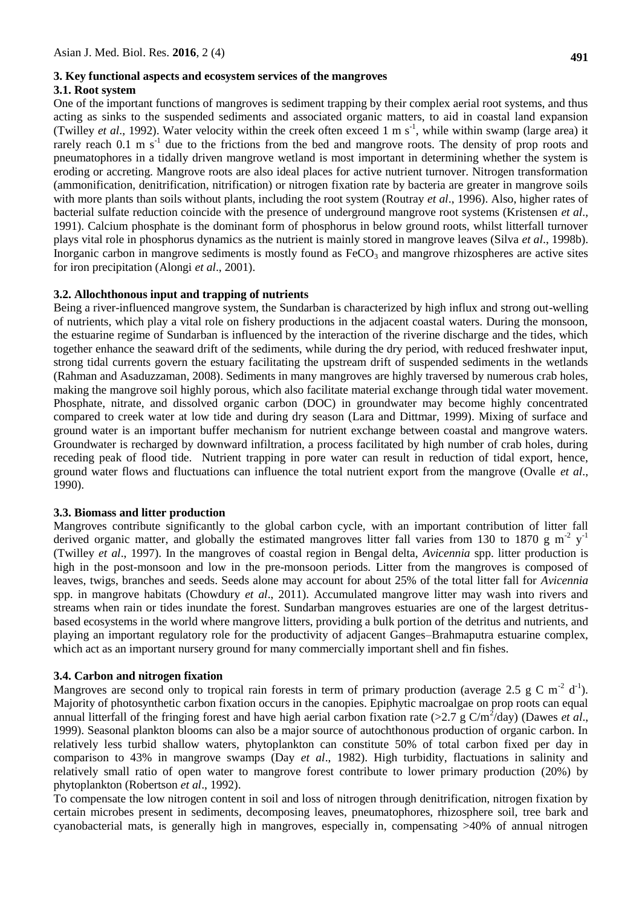# **3. Key functional aspects and ecosystem services of the mangroves**

# **3.1. Root system**

One of the important functions of mangroves is sediment trapping by their complex aerial root systems, and thus acting as sinks to the suspended sediments and associated organic matters, to aid in coastal land expansion (Twilley *et al.*, 1992). Water velocity within the creek often exceed 1 m s<sup>-1</sup>, while within swamp (large area) it rarely reach  $0.1 \text{ m s}^{-1}$  due to the frictions from the bed and mangrove roots. The density of prop roots and pneumatophores in a tidally driven mangrove wetland is most important in determining whether the system is eroding or accreting. Mangrove roots are also ideal places for active nutrient turnover. Nitrogen transformation (ammonification, denitrification, nitrification) or nitrogen fixation rate by bacteria are greater in mangrove soils with more plants than soils without plants, including the root system (Routray *et al*., 1996). Also, higher rates of bacterial sulfate reduction coincide with the presence of underground mangrove root systems (Kristensen *et al*., 1991). Calcium phosphate is the dominant form of phosphorus in below ground roots, whilst litterfall turnover plays vital role in phosphorus dynamics as the nutrient is mainly stored in mangrove leaves (Silva *et al*., 1998b). Inorganic carbon in mangrove sediments is mostly found as  $FeCO<sub>3</sub>$  and mangrove rhizospheres are active sites for iron precipitation (Alongi *et al*., 2001).

# **3.2. Allochthonous input and trapping of nutrients**

Being a river-influenced mangrove system, the Sundarban is characterized by high influx and strong out-welling of nutrients, which play a vital role on fishery productions in the adjacent coastal waters. During the monsoon, the estuarine regime of Sundarban is influenced by the interaction of the riverine discharge and the tides, which together enhance the seaward drift of the sediments, while during the dry period, with reduced freshwater input, strong tidal currents govern the estuary facilitating the upstream drift of suspended sediments in the wetlands (Rahman and Asaduzzaman, 2008). Sediments in many mangroves are highly traversed by numerous crab holes, making the mangrove soil highly porous, which also facilitate material exchange through tidal water movement. Phosphate, nitrate, and dissolved organic carbon (DOC) in groundwater may become highly concentrated compared to creek water at low tide and during dry season (Lara and Dittmar, 1999). Mixing of surface and ground water is an important buffer mechanism for nutrient exchange between coastal and mangrove waters. Groundwater is recharged by downward infiltration, a process facilitated by high number of crab holes, during receding peak of flood tide. Nutrient trapping in pore water can result in reduction of tidal export, hence, ground water flows and fluctuations can influence the total nutrient export from the mangrove (Ovalle *et al*., 1990).

# **3.3. Biomass and litter production**

Mangroves contribute significantly to the global carbon cycle, with an important contribution of litter fall derived organic matter, and globally the estimated mangroves litter fall varies from 130 to 1870 g m<sup>-2</sup>  $y$ <sup>-1</sup> (Twilley *et al*., 1997). In the mangroves of coastal region in Bengal delta, *Avicennia* spp. litter production is high in the post-monsoon and low in the pre-monsoon periods. Litter from the mangroves is composed of leaves, twigs, branches and seeds. Seeds alone may account for about 25% of the total litter fall for *Avicennia* spp. in mangrove habitats (Chowdury *et al*., 2011). Accumulated mangrove litter may wash into rivers and streams when rain or tides inundate the forest. Sundarban mangroves estuaries are one of the largest detritusbased ecosystems in the world where mangrove litters, providing a bulk portion of the detritus and nutrients, and playing an important regulatory role for the productivity of adjacent Ganges–Brahmaputra estuarine complex, which act as an important nursery ground for many commercially important shell and fin fishes.

# **3.4. Carbon and nitrogen fixation**

Mangroves are second only to tropical rain forests in term of primary production (average 2.5 g C m<sup>-2</sup> d<sup>-1</sup>). Majority of photosynthetic carbon fixation occurs in the canopies. Epiphytic macroalgae on prop roots can equal annual litterfall of the fringing forest and have high aerial carbon fixation rate (>2.7 g  $C/m^2/day$ ) (Dawes *et al.*, 1999). Seasonal plankton blooms can also be a major source of autochthonous production of organic carbon. In relatively less turbid shallow waters, phytoplankton can constitute 50% of total carbon fixed per day in comparison to 43% in mangrove swamps (Day *et al*., 1982). High turbidity, flactuations in salinity and relatively small ratio of open water to mangrove forest contribute to lower primary production (20%) by phytoplankton (Robertson *et al*., 1992).

To compensate the low nitrogen content in soil and loss of nitrogen through denitrification, nitrogen fixation by certain microbes present in sediments, decomposing leaves, pneumatophores, rhizosphere soil, tree bark and cyanobacterial mats, is generally high in mangroves, especially in, compensating >40% of annual nitrogen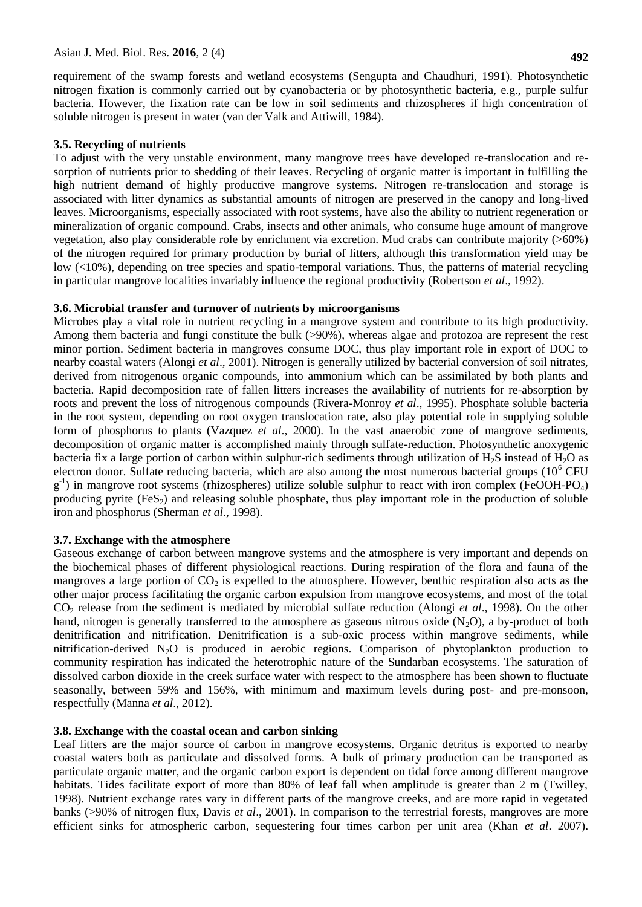requirement of the swamp forests and wetland ecosystems (Sengupta and Chaudhuri, 1991). Photosynthetic nitrogen fixation is commonly carried out by cyanobacteria or by photosynthetic bacteria, e.g., purple sulfur bacteria. However, the fixation rate can be low in soil sediments and rhizospheres if high concentration of soluble nitrogen is present in water (van der Valk and Attiwill, 1984).

#### **3.5. Recycling of nutrients**

To adjust with the very unstable environment, many mangrove trees have developed re-translocation and resorption of nutrients prior to shedding of their leaves. Recycling of organic matter is important in fulfilling the high nutrient demand of highly productive mangrove systems. Nitrogen re-translocation and storage is associated with litter dynamics as substantial amounts of nitrogen are preserved in the canopy and long-lived leaves. Microorganisms, especially associated with root systems, have also the ability to nutrient regeneration or mineralization of organic compound. Crabs, insects and other animals, who consume huge amount of mangrove vegetation, also play considerable role by enrichment via excretion. Mud crabs can contribute majority (>60%) of the nitrogen required for primary production by burial of litters, although this transformation yield may be low (<10%), depending on tree species and spatio-temporal variations. Thus, the patterns of material recycling in particular mangrove localities invariably influence the regional productivity (Robertson *et al*., 1992).

#### **3.6. Microbial transfer and turnover of nutrients by microorganisms**

Microbes play a vital role in nutrient recycling in a mangrove system and contribute to its high productivity. Among them bacteria and fungi constitute the bulk (>90%), whereas algae and protozoa are represent the rest minor portion. Sediment bacteria in mangroves consume DOC, thus play important role in export of DOC to nearby coastal waters (Alongi *et al*., 2001). Nitrogen is generally utilized by bacterial conversion of soil nitrates, derived from nitrogenous organic compounds, into ammonium which can be assimilated by both plants and bacteria. Rapid decomposition rate of fallen litters increases the availability of nutrients for re-absorption by roots and prevent the loss of nitrogenous compounds (Rivera-Monroy *et al*., 1995). Phosphate soluble bacteria in the root system, depending on root oxygen translocation rate, also play potential role in supplying soluble form of phosphorus to plants (Vazquez *et al*., 2000). In the vast anaerobic zone of mangrove sediments, decomposition of organic matter is accomplished mainly through sulfate-reduction. Photosynthetic anoxygenic bacteria fix a large portion of carbon within sulphur-rich sediments through utilization of  $H_2S$  instead of  $H_2O$  as electron donor. Sulfate reducing bacteria, which are also among the most numerous bacterial groups  $(10<sup>6</sup> CFU)$  $g^{-1}$ ) in mangrove root systems (rhizospheres) utilize soluble sulphur to react with iron complex (FeOOH-PO<sub>4</sub>) producing pyrite  $(F \in S_2)$  and releasing soluble phosphate, thus play important role in the production of soluble iron and phosphorus (Sherman *et al*., 1998).

## **3.7. Exchange with the atmosphere**

Gaseous exchange of carbon between mangrove systems and the atmosphere is very important and depends on the biochemical phases of different physiological reactions. During respiration of the flora and fauna of the mangroves a large portion of  $CO<sub>2</sub>$  is expelled to the atmosphere. However, benthic respiration also acts as the other major process facilitating the organic carbon expulsion from mangrove ecosystems, and most of the total CO<sup>2</sup> release from the sediment is mediated by microbial sulfate reduction (Alongi *et al*.*,* 1998). On the other hand, nitrogen is generally transferred to the atmosphere as gaseous nitrous oxide  $(N_2O)$ , a by-product of both denitrification and nitrification. Denitrification is a sub-oxic process within mangrove sediments, while nitrification-derived  $N_2O$  is produced in aerobic regions. Comparison of phytoplankton production to community respiration has indicated the heterotrophic nature of the Sundarban ecosystems. The saturation of dissolved carbon dioxide in the creek surface water with respect to the atmosphere has been shown to fluctuate seasonally, between 59% and 156%, with minimum and maximum levels during post- and pre-monsoon, respectfully (Manna *et al*., 2012).

#### **3.8. Exchange with the coastal ocean and carbon sinking**

Leaf litters are the major source of carbon in mangrove ecosystems. Organic detritus is exported to nearby coastal waters both as particulate and dissolved forms. A bulk of primary production can be transported as particulate organic matter, and the organic carbon export is dependent on tidal force among different mangrove habitats. Tides facilitate export of more than 80% of leaf fall when amplitude is greater than 2 m (Twilley, 1998). Nutrient exchange rates vary in different parts of the mangrove creeks, and are more rapid in vegetated banks (>90% of nitrogen flux, Davis *et al*., 2001). In comparison to the terrestrial forests, mangroves are more efficient sinks for atmospheric carbon, sequestering four times carbon per unit area (Khan *et al*. 2007).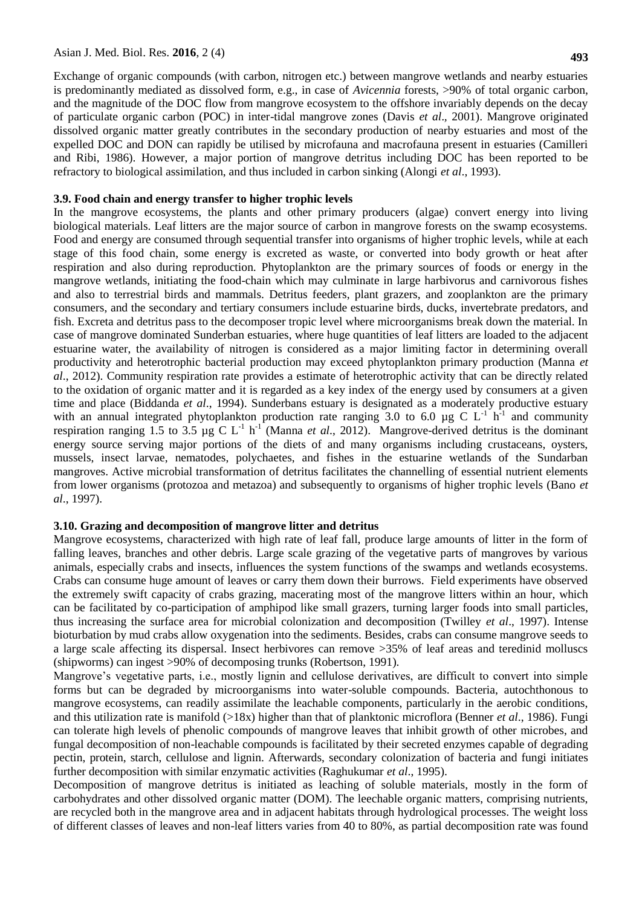#### Asian J. Med. Biol. Res. **2016**, 2 (4)

Exchange of organic compounds (with carbon, nitrogen etc.) between mangrove wetlands and nearby estuaries is predominantly mediated as dissolved form, e.g., in case of *Avicennia* forests, >90% of total organic carbon, and the magnitude of the DOC flow from mangrove ecosystem to the offshore invariably depends on the decay of particulate organic carbon (POC) in inter-tidal mangrove zones (Davis *et al*.*,* 2001). Mangrove originated dissolved organic matter greatly contributes in the secondary production of nearby estuaries and most of the expelled DOC and DON can rapidly be utilised by microfauna and macrofauna present in estuaries (Camilleri and Ribi, 1986). However, a major portion of mangrove detritus including DOC has been reported to be refractory to biological assimilation, and thus included in carbon sinking (Alongi *et al*., 1993).

#### **3.9. Food chain and energy transfer to higher trophic levels**

In the mangrove ecosystems, the plants and other primary producers (algae) convert energy into living biological materials. Leaf litters are the major source of carbon in mangrove forests on the swamp ecosystems. Food and energy are consumed through sequential transfer into organisms of higher trophic levels, while at each stage of this food chain, some energy is excreted as waste, or converted into body growth or heat after respiration and also during reproduction. Phytoplankton are the primary sources of foods or energy in the mangrove wetlands, initiating the food-chain which may culminate in large harbivorus and carnivorous fishes and also to terrestrial birds and mammals. Detritus feeders, plant grazers, and zooplankton are the primary consumers, and the secondary and tertiary consumers include estuarine birds, ducks, invertebrate predators, and fish. Excreta and detritus pass to the decomposer tropic level where microorganisms break down the material. In case of mangrove dominated Sunderban estuaries, where huge quantities of leaf litters are loaded to the adjacent estuarine water, the availability of nitrogen is considered as a major limiting factor in determining overall productivity and heterotrophic bacterial production may exceed phytoplankton primary production (Manna *et al*., 2012). Community respiration rate provides a estimate of heterotrophic activity that can be directly related to the oxidation of organic matter and it is regarded as a key index of the energy used by consumers at a given time and place (Biddanda *et al*., 1994). Sunderbans estuary is designated as a moderately productive estuary with an annual integrated phytoplankton production rate ranging 3.0 to 6.0  $\mu$ g C L<sup>-1</sup> h<sup>-1</sup> and community respiration ranging 1.5 to 3.5  $\mu$ g C L<sup>-1</sup> h<sup>-1</sup> (Manna *et al.*, 2012). Mangrove-derived detritus is the dominant energy source serving major portions of the diets of and many organisms including crustaceans, oysters, mussels, insect larvae, nematodes, polychaetes, and fishes in the estuarine wetlands of the Sundarban mangroves. Active microbial transformation of detritus facilitates the channelling of essential nutrient elements from lower organisms (protozoa and metazoa) and subsequently to organisms of higher trophic levels (Bano *et al*., 1997).

### **3.10. Grazing and decomposition of mangrove litter and detritus**

Mangrove ecosystems, characterized with high rate of leaf fall, produce large amounts of litter in the form of falling leaves, branches and other debris. Large scale grazing of the vegetative parts of mangroves by various animals, especially crabs and insects, influences the system functions of the swamps and wetlands ecosystems. Crabs can consume huge amount of leaves or carry them down their burrows. Field experiments have observed the extremely swift capacity of crabs grazing, macerating most of the mangrove litters within an hour, which can be facilitated by co-participation of amphipod like small grazers, turning larger foods into small particles, thus increasing the surface area for microbial colonization and decomposition (Twilley *et al*., 1997). Intense bioturbation by mud crabs allow oxygenation into the sediments. Besides, crabs can consume mangrove seeds to a large scale affecting its dispersal. Insect herbivores can remove >35% of leaf areas and teredinid molluscs (shipworms) can ingest >90% of decomposing trunks (Robertson, 1991).

Mangrove"s vegetative parts, i.e., mostly lignin and cellulose derivatives, are difficult to convert into simple forms but can be degraded by microorganisms into water-soluble compounds. Bacteria, autochthonous to mangrove ecosystems, can readily assimilate the leachable components, particularly in the aerobic conditions, and this utilization rate is manifold (>18x) higher than that of planktonic microflora (Benner *et al*., 1986). Fungi can tolerate high levels of phenolic compounds of mangrove leaves that inhibit growth of other microbes, and fungal decomposition of non-leachable compounds is facilitated by their secreted enzymes capable of degrading pectin, protein, starch, cellulose and lignin. Afterwards, secondary colonization of bacteria and fungi initiates further decomposition with similar enzymatic activities (Raghukumar *et al*., 1995).

Decomposition of mangrove detritus is initiated as leaching of soluble materials, mostly in the form of carbohydrates and other dissolved organic matter (DOM). The leechable organic matters, comprising nutrients, are recycled both in the mangrove area and in adjacent habitats through hydrological processes. The weight loss of different classes of leaves and non-leaf litters varies from 40 to 80%, as partial decomposition rate was found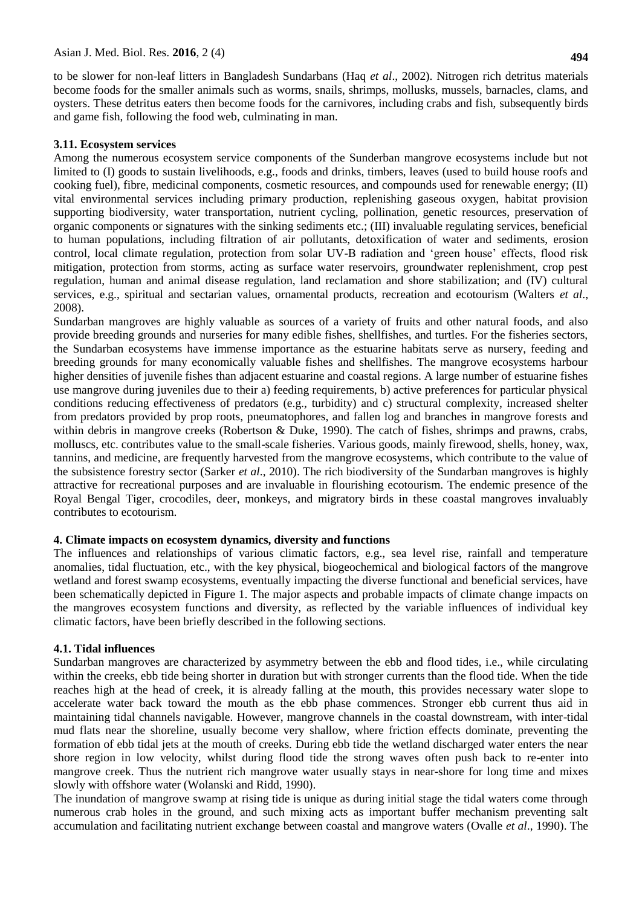to be slower for non-leaf litters in Bangladesh Sundarbans (Haq *et al*., 2002). Nitrogen rich detritus materials become foods for the smaller animals such as worms, snails, shrimps, mollusks, mussels, barnacles, clams, and oysters. These detritus eaters then become foods for the carnivores, including crabs and fish, subsequently birds and game fish, following the food web, culminating in man.

#### **3.11. Ecosystem services**

Among the numerous ecosystem service components of the Sunderban mangrove ecosystems include but not limited to (I) goods to sustain livelihoods, e.g., foods and drinks, timbers, leaves (used to build house roofs and cooking fuel), fibre, medicinal components, cosmetic resources, and compounds used for renewable energy; (II) vital environmental services including primary production, replenishing gaseous oxygen, habitat provision supporting biodiversity, water transportation, nutrient cycling, pollination, genetic resources, preservation of organic components or signatures with the sinking sediments etc.; (III) invaluable regulating services, beneficial to human populations, including filtration of air pollutants, detoxification of water and sediments, erosion control, local climate regulation, protection from solar UV-B radiation and "green house" effects, flood risk mitigation, protection from storms, acting as surface water reservoirs, groundwater replenishment, crop pest regulation, human and animal disease regulation, land reclamation and shore stabilization; and (IV) cultural services, e.g., spiritual and sectarian values, ornamental products, recreation and ecotourism (Walters *et al*., 2008).

Sundarban mangroves are highly valuable as sources of a variety of fruits and other natural foods, and also provide breeding grounds and nurseries for many edible fishes, shellfishes, and turtles. For the fisheries sectors, the Sundarban ecosystems have immense importance as the estuarine habitats serve as nursery, feeding and breeding grounds for many economically valuable fishes and shellfishes. The mangrove ecosystems harbour higher densities of juvenile fishes than adjacent estuarine and coastal regions. A large number of estuarine fishes use mangrove during juveniles due to their a) feeding requirements, b) active preferences for particular physical conditions reducing effectiveness of predators (e.g., turbidity) and c) structural complexity, increased shelter from predators provided by prop roots, pneumatophores, and fallen log and branches in mangrove forests and within debris in mangrove creeks (Robertson & Duke, 1990). The catch of fishes, shrimps and prawns, crabs, molluscs, etc. contributes value to the small-scale fisheries. Various goods, mainly firewood, shells, honey, wax, tannins, and medicine, are frequently harvested from the mangrove ecosystems, which contribute to the value of the subsistence forestry sector (Sarker *et al*., 2010). The rich biodiversity of the Sundarban mangroves is highly attractive for recreational purposes and are invaluable in flourishing ecotourism. The endemic presence of the Royal Bengal Tiger, crocodiles, deer, monkeys, and migratory birds in these coastal mangroves invaluably contributes to ecotourism.

#### **4. Climate impacts on ecosystem dynamics, diversity and functions**

The influences and relationships of various climatic factors, e.g., sea level rise, rainfall and temperature anomalies, tidal fluctuation, etc., with the key physical, biogeochemical and biological factors of the mangrove wetland and forest swamp ecosystems, eventually impacting the diverse functional and beneficial services, have been schematically depicted in Figure 1. The major aspects and probable impacts of climate change impacts on the mangroves ecosystem functions and diversity, as reflected by the variable influences of individual key climatic factors, have been briefly described in the following sections.

#### **4.1. Tidal influences**

Sundarban mangroves are characterized by asymmetry between the ebb and flood tides, i.e., while circulating within the creeks, ebb tide being shorter in duration but with stronger currents than the flood tide. When the tide reaches high at the head of creek, it is already falling at the mouth, this provides necessary water slope to accelerate water back toward the mouth as the ebb phase commences. Stronger ebb current thus aid in maintaining tidal channels navigable. However, mangrove channels in the coastal downstream, with inter-tidal mud flats near the shoreline, usually become very shallow, where friction effects dominate, preventing the formation of ebb tidal jets at the mouth of creeks. During ebb tide the wetland discharged water enters the near shore region in low velocity, whilst during flood tide the strong waves often push back to re-enter into mangrove creek. Thus the nutrient rich mangrove water usually stays in near-shore for long time and mixes slowly with offshore water (Wolanski and Ridd, 1990).

The inundation of mangrove swamp at rising tide is unique as during initial stage the tidal waters come through numerous crab holes in the ground, and such mixing acts as important buffer mechanism preventing salt accumulation and facilitating nutrient exchange between coastal and mangrove waters (Ovalle *et al*., 1990). The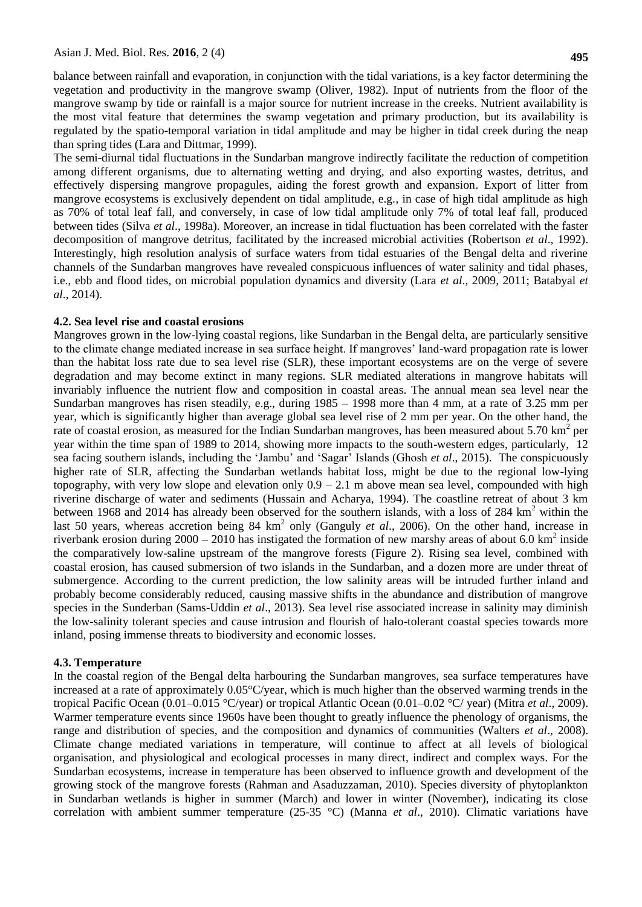**495**

balance between rainfall and evaporation, in conjunction with the tidal variations, is a key factor determining the vegetation and productivity in the mangrove swamp (Oliver, 1982). Input of nutrients from the floor of the mangrove swamp by tide or rainfall is a major source for nutrient increase in the creeks. Nutrient availability is the most vital feature that determines the swamp vegetation and primary production, but its availability is regulated by the spatio-temporal variation in tidal amplitude and may be higher in tidal creek during the neap than spring tides (Lara and Dittmar, 1999).

The semi-diurnal tidal fluctuations in the Sundarban mangrove indirectly facilitate the reduction of competition among different organisms, due to alternating wetting and drying, and also exporting wastes, detritus, and effectively dispersing mangrove propagules, aiding the forest growth and expansion. Export of litter from mangrove ecosystems is exclusively dependent on tidal amplitude, e.g., in case of high tidal amplitude as high as 70% of total leaf fall, and conversely, in case of low tidal amplitude only 7% of total leaf fall, produced between tides (Silva *et al*., 1998a). Moreover, an increase in tidal fluctuation has been correlated with the faster decomposition of mangrove detritus, facilitated by the increased microbial activities (Robertson *et al*., 1992). Interestingly, high resolution analysis of surface waters from tidal estuaries of the Bengal delta and riverine channels of the Sundarban mangroves have revealed conspicuous influences of water salinity and tidal phases, i.e., ebb and flood tides, on microbial population dynamics and diversity (Lara *et al*., 2009, 2011; Batabyal *et al*., 2014).

# **4.2. Sea level rise and coastal erosions**

Mangroves grown in the low-lying coastal regions, like Sundarban in the Bengal delta, are particularly sensitive to the climate change mediated increase in sea surface height. If mangroves" land-ward propagation rate is lower than the habitat loss rate due to sea level rise (SLR), these important ecosystems are on the verge of severe degradation and may become extinct in many regions. SLR mediated alterations in mangrove habitats will invariably influence the nutrient flow and composition in coastal areas. The annual mean sea level near the Sundarban mangroves has risen steadily, e.g., during 1985 – 1998 more than 4 mm, at a rate of 3.25 mm per year, which is significantly higher than average global sea level rise of 2 mm per year. On the other hand, the rate of coastal erosion, as measured for the Indian Sundarban mangroves, has been measured about 5.70  $\text{km}^2$  per year within the time span of 1989 to 2014, showing more impacts to the south-western edges, particularly, 12 sea facing southern islands, including the "Jambu" and "Sagar" Islands (Ghosh *et al*., 2015). The conspicuously higher rate of SLR, affecting the Sundarban wetlands habitat loss, might be due to the regional low-lying topography, with very low slope and elevation only  $0.9 - 2.1$  m above mean sea level, compounded with high riverine discharge of water and sediments (Hussain and Acharya, 1994). The coastline retreat of about 3 km between 1968 and 2014 has already been observed for the southern islands, with a loss of  $284 \text{ km}^2$  within the last 50 years, whereas accretion being 84 km<sup>2</sup> only (Ganguly *et al.*, 2006). On the other hand, increase in riverbank erosion during  $2000 - 2010$  has instigated the formation of new marshy areas of about 6.0 km<sup>2</sup> inside the comparatively low-saline upstream of the mangrove forests (Figure 2). Rising sea level, combined with coastal erosion, has caused submersion of two islands in the Sundarban, and a dozen more are under threat of submergence. According to the current prediction, the low salinity areas will be intruded further inland and probably become considerably reduced, causing massive shifts in the abundance and distribution of mangrove species in the Sunderban (Sams-Uddin *et al*., 2013). Sea level rise associated increase in salinity may diminish the low-salinity tolerant species and cause intrusion and flourish of halo-tolerant coastal species towards more inland, posing immense threats to biodiversity and economic losses.

# **4.3. Temperature**

In the coastal region of the Bengal delta harbouring the Sundarban mangroves, sea surface temperatures have increased at a rate of approximately 0.05°C/year, which is much higher than the observed warming trends in the tropical Pacific Ocean (0.01–0.015 °C/year) or tropical Atlantic Ocean (0.01–0.02 °C/ year) (Mitra *et al*., 2009). Warmer temperature events since 1960s have been thought to greatly influence the phenology of organisms, the range and distribution of species, and the composition and dynamics of communities (Walters *et al*., 2008). Climate change mediated variations in temperature, will continue to affect at all levels of biological organisation, and physiological and ecological processes in many direct, indirect and complex ways. For the Sundarban ecosystems, increase in temperature has been observed to influence growth and development of the growing stock of the mangrove forests (Rahman and Asaduzzaman, 2010). Species diversity of phytoplankton in Sundarban wetlands is higher in summer (March) and lower in winter (November), indicating its close correlation with ambient summer temperature (25-35 °C) (Manna *et al*., 2010). Climatic variations have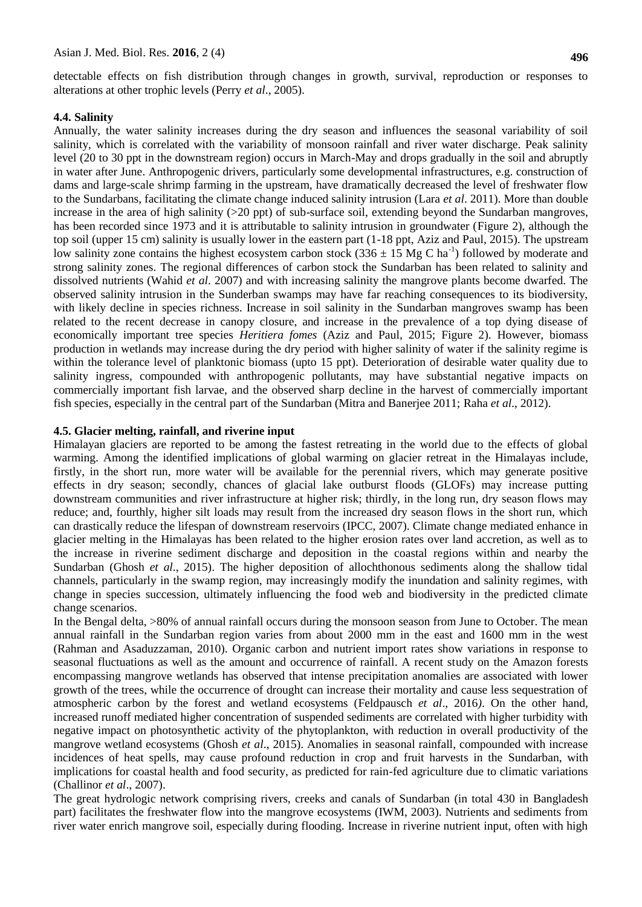detectable effects on fish distribution through changes in growth, survival, reproduction or responses to alterations at other trophic levels (Perry *et al*., 2005).

#### **4.4. Salinity**

Annually, the water salinity increases during the dry season and influences the seasonal variability of soil salinity, which is correlated with the variability of monsoon rainfall and river water discharge. Peak salinity level (20 to 30 ppt in the downstream region) occurs in March-May and drops gradually in the soil and abruptly in water after June. Anthropogenic drivers, particularly some developmental infrastructures, e.g. construction of dams and large-scale shrimp farming in the upstream, have dramatically decreased the level of freshwater flow to the Sundarbans, facilitating the climate change induced salinity intrusion (Lara *et al*. 2011). More than double increase in the area of high salinity (>20 ppt) of sub-surface soil, extending beyond the Sundarban mangroves, has been recorded since 1973 and it is attributable to salinity intrusion in groundwater (Figure 2), although the top soil (upper 15 cm) salinity is usually lower in the eastern part (1-18 ppt, Aziz and Paul, 2015). The upstream low salinity zone contains the highest ecosystem carbon stock  $(336 \pm 15 \text{ Mg C ha}^{-1})$  followed by moderate and strong salinity zones. The regional differences of carbon stock the Sundarban has been related to salinity and dissolved nutrients (Wahid *et al*. 2007) and with increasing salinity the mangrove plants become dwarfed. The observed salinity intrusion in the Sunderban swamps may have far reaching consequences to its biodiversity, with likely decline in species richness. Increase in soil salinity in the Sundarban mangroves swamp has been related to the recent decrease in canopy closure, and increase in the prevalence of a top dying disease of economically important tree species *Heritiera fomes* (Aziz and Paul, 2015; Figure 2). However, biomass production in wetlands may increase during the dry period with higher salinity of water if the salinity regime is within the tolerance level of planktonic biomass (upto 15 ppt). Deterioration of desirable water quality due to salinity ingress, compounded with anthropogenic pollutants, may have substantial negative impacts on commercially important fish larvae, and the observed sharp decline in the harvest of commercially important fish species, especially in the central part of the Sundarban (Mitra and Banerjee 2011; Raha *et al*., 2012).

### **4.5. Glacier melting, rainfall, and riverine input**

Himalayan glaciers are reported to be among the fastest retreating in the world due to the effects of global warming. Among the identified implications of global warming on glacier retreat in the Himalayas include, firstly, in the short run, more water will be available for the perennial rivers, which may generate positive effects in dry season; secondly, chances of glacial lake outburst floods (GLOFs) may increase putting downstream communities and river infrastructure at higher risk; thirdly, in the long run, dry season flows may reduce; and, fourthly, higher silt loads may result from the increased dry season flows in the short run, which can drastically reduce the lifespan of downstream reservoirs (IPCC, 2007). Climate change mediated enhance in glacier melting in the Himalayas has been related to the higher erosion rates over land accretion, as well as to the increase in riverine sediment discharge and deposition in the coastal regions within and nearby the Sundarban (Ghosh *et al*., 2015). The higher deposition of allochthonous sediments along the shallow tidal channels, particularly in the swamp region, may increasingly modify the inundation and salinity regimes, with change in species succession, ultimately influencing the food web and biodiversity in the predicted climate change scenarios.

In the Bengal delta, >80% of annual rainfall occurs during the monsoon season from June to October. The mean annual rainfall in the Sundarban region varies from about 2000 mm in the east and 1600 mm in the west (Rahman and Asaduzzaman, 2010). Organic carbon and nutrient import rates show variations in response to seasonal fluctuations as well as the amount and occurrence of rainfall. A recent study on the Amazon forests encompassing mangrove wetlands has observed that intense precipitation anomalies are associated with lower growth of the trees, while the occurrence of drought can increase their mortality and cause less sequestration of atmospheric carbon by the forest and wetland ecosystems (Feldpausch *et al*., 2016*)*. On the other hand, increased runoff mediated higher concentration of suspended sediments are correlated with higher turbidity with negative impact on photosynthetic activity of the phytoplankton, with reduction in overall productivity of the mangrove wetland ecosystems (Ghosh *et al*., 2015). Anomalies in seasonal rainfall, compounded with increase incidences of heat spells, may cause profound reduction in crop and fruit harvests in the Sundarban, with implications for coastal health and food security, as predicted for rain-fed agriculture due to climatic variations (Challinor *et al*., 2007).

The great hydrologic network comprising rivers, creeks and canals of Sundarban (in total 430 in Bangladesh part) facilitates the freshwater flow into the mangrove ecosystems (IWM, 2003). Nutrients and sediments from river water enrich mangrove soil, especially during flooding. Increase in riverine nutrient input, often with high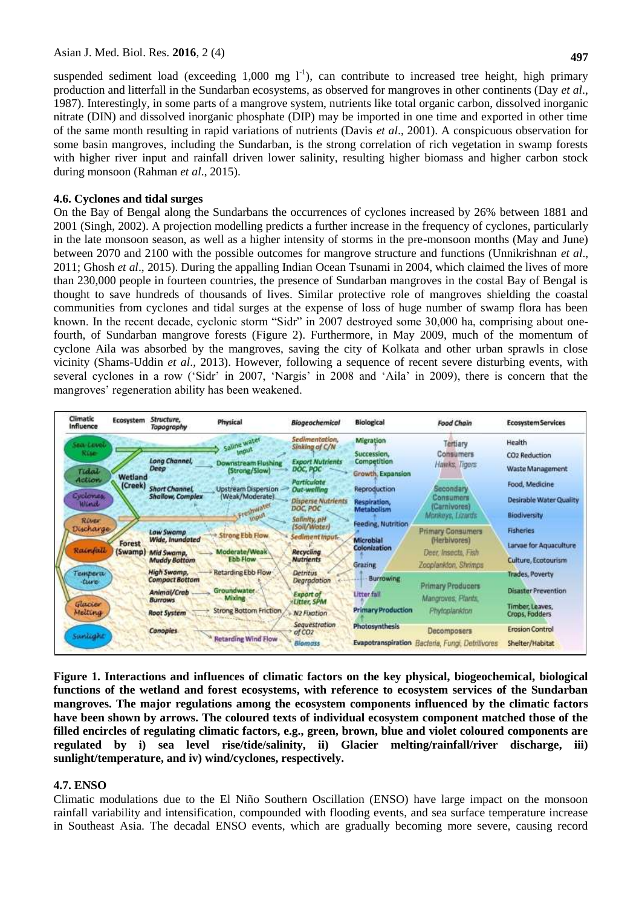suspended sediment load (exceeding 1,000 mg  $1^{-1}$ ), can contribute to increased tree height, high primary production and litterfall in the Sundarban ecosystems, as observed for mangroves in other continents (Day *et al*., 1987). Interestingly, in some parts of a mangrove system, nutrients like total organic carbon, dissolved inorganic nitrate (DIN) and dissolved inorganic phosphate (DIP) may be imported in one time and exported in other time of the same month resulting in rapid variations of nutrients (Davis *et al*., 2001). A conspicuous observation for some basin mangroves, including the Sundarban, is the strong correlation of rich vegetation in swamp forests with higher river input and rainfall driven lower salinity, resulting higher biomass and higher carbon stock during monsoon (Rahman *et al*., 2015).

# **4.6. Cyclones and tidal surges**

On the Bay of Bengal along the Sundarbans the occurrences of cyclones increased by 26% between 1881 and 2001 (Singh, 2002). A projection modelling predicts a further increase in the frequency of cyclones, particularly in the late monsoon season, as well as a higher intensity of storms in the pre-monsoon months (May and June) between 2070 and 2100 with the possible outcomes for mangrove structure and functions (Unnikrishnan *et al*., 2011; Ghosh *et al*., 2015). During the appalling Indian Ocean Tsunami in 2004, which claimed the lives of more than 230,000 people in fourteen countries, the presence of Sundarban mangroves in the costal Bay of Bengal is thought to save hundreds of thousands of lives. Similar protective role of mangroves shielding the coastal communities from cyclones and tidal surges at the expense of loss of huge number of swamp flora has been known. In the recent decade, cyclonic storm "Sidr" in 2007 destroyed some 30,000 ha, comprising about onefourth, of Sundarban mangrove forests (Figure 2). Furthermore, in May 2009, much of the momentum of cyclone Aila was absorbed by the mangroves, saving the city of Kolkata and other urban sprawls in close vicinity (Shams-Uddin *et al*., 2013). However, following a sequence of recent severe disturbing events, with several cyclones in a row ('Sidr' in 2007, 'Nargis' in 2008 and 'Aila' in 2009), there is concern that the mangroves' regeneration ability has been weakened.



**Figure 1. Interactions and influences of climatic factors on the key physical, biogeochemical, biological functions of the wetland and forest ecosystems, with reference to ecosystem services of the Sundarban mangroves. The major regulations among the ecosystem components influenced by the climatic factors have been shown by arrows. The coloured texts of individual ecosystem component matched those of the filled encircles of regulating climatic factors, e.g., green, brown, blue and violet coloured components are regulated by i) sea level rise/tide/salinity, ii) Glacier melting/rainfall/river discharge, iii) sunlight/temperature, and iv) wind/cyclones, respectively.** 

## **4.7. ENSO**

Climatic modulations due to the El Niño Southern Oscillation (ENSO) have large impact on the monsoon rainfall variability and intensification, compounded with flooding events, and sea surface temperature increase in Southeast Asia. The decadal ENSO events, which are gradually becoming more severe, causing record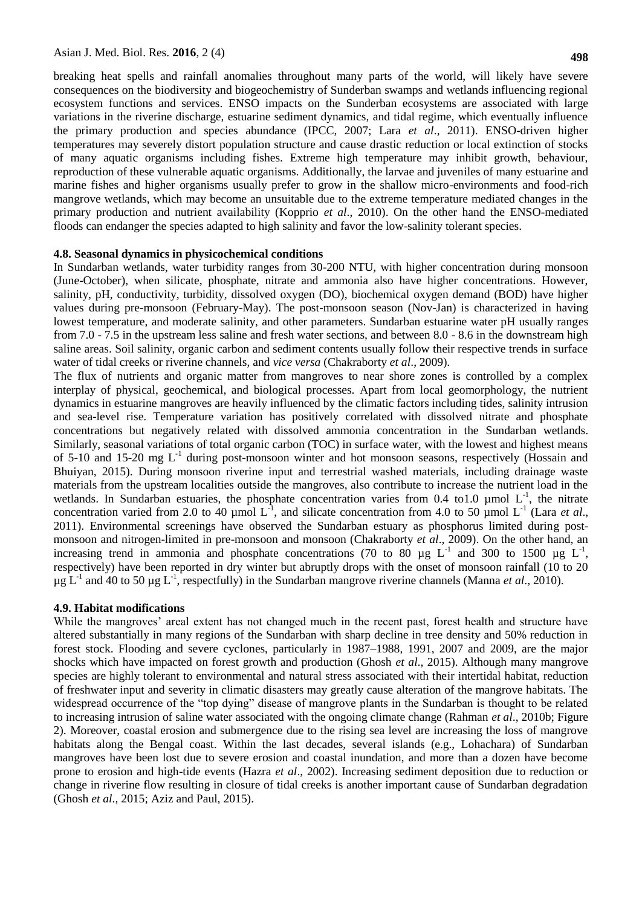breaking heat spells and rainfall anomalies throughout many parts of the world, will likely have severe consequences on the biodiversity and biogeochemistry of Sunderban swamps and wetlands influencing regional ecosystem functions and services. ENSO impacts on the Sunderban ecosystems are associated with large variations in the riverine discharge, estuarine sediment dynamics, and tidal regime, which eventually influence the primary production and species abundance (IPCC, 2007; Lara *et al*., 2011). ENSO-driven higher temperatures may severely distort population structure and cause drastic reduction or local extinction of stocks of many aquatic organisms including fishes. Extreme high temperature may inhibit growth, behaviour, reproduction of these vulnerable aquatic organisms. Additionally, the larvae and juveniles of many estuarine and marine fishes and higher organisms usually prefer to grow in the shallow micro-environments and food-rich mangrove wetlands, which may become an unsuitable due to the extreme temperature mediated changes in the primary production and nutrient availability (Kopprio *et al*., 2010). On the other hand the ENSO-mediated floods can endanger the species adapted to high salinity and favor the low-salinity tolerant species.

#### **4.8. Seasonal dynamics in physicochemical conditions**

In Sundarban wetlands, water turbidity ranges from 30-200 NTU, with higher concentration during monsoon (June-October), when silicate, phosphate, nitrate and ammonia also have higher concentrations. However, salinity, pH, conductivity, turbidity, dissolved oxygen (DO), biochemical oxygen demand (BOD) have higher values during pre-monsoon (February-May). The post-monsoon season (Nov-Jan) is characterized in having lowest temperature, and moderate salinity, and other parameters. Sundarban estuarine water pH usually ranges from 7.0 - 7.5 in the upstream less saline and fresh water sections, and between 8.0 - 8.6 in the downstream high saline areas. Soil salinity, organic carbon and sediment contents usually follow their respective trends in surface water of tidal creeks or riverine channels, and *vice versa* (Chakraborty *et al*., 2009).

The flux of nutrients and organic matter from mangroves to near shore zones is controlled by a complex interplay of physical, geochemical, and biological processes. Apart from local geomorphology, the nutrient dynamics in estuarine mangroves are heavily influenced by the climatic factors including tides, salinity intrusion and sea-level rise. Temperature variation has positively correlated with dissolved nitrate and phosphate concentrations but negatively related with dissolved ammonia concentration in the Sundarban wetlands. Similarly, seasonal variations of total organic carbon (TOC) in surface water, with the lowest and highest means of 5-10 and 15-20 mg  $L^{-1}$  during post-monsoon winter and hot monsoon seasons, respectively (Hossain and Bhuiyan, 2015). During monsoon riverine input and terrestrial washed materials, including drainage waste materials from the upstream localities outside the mangroves, also contribute to increase the nutrient load in the wetlands. In Sundarban estuaries, the phosphate concentration varies from 0.4 to 1.0 µmol  $L^{-1}$ , the nitrate concentration varied from 2.0 to 40 µmol  $L^{-1}$ , and silicate concentration from 4.0 to 50 µmol  $L^{-1}$  (Lara *et al.*, 2011). Environmental screenings have observed the Sundarban estuary as phosphorus limited during postmonsoon and nitrogen-limited in pre-monsoon and monsoon (Chakraborty *et al*., 2009). On the other hand, an increasing trend in ammonia and phosphate concentrations (70 to 80  $\mu$ g L<sup>-1</sup> and 300 to 1500  $\mu$ g L<sup>-1</sup>, respectively) have been reported in dry winter but abruptly drops with the onset of monsoon rainfall (10 to 20  $\mu$ g L<sup>-1</sup> and 40 to 50  $\mu$ g L<sup>-1</sup>, respectfully) in the Sundarban mangrove riverine channels (Manna *et al.*, 2010).

#### **4.9. Habitat modifications**

While the mangroves' areal extent has not changed much in the recent past, forest health and structure have altered substantially in many regions of the Sundarban with sharp decline in tree density and 50% reduction in forest stock. Flooding and severe cyclones, particularly in 1987–1988, 1991, 2007 and 2009, are the major shocks which have impacted on forest growth and production (Ghosh *et al*., 2015). Although many mangrove species are highly tolerant to environmental and natural stress associated with their intertidal habitat, reduction of freshwater input and severity in climatic disasters may greatly cause alteration of the mangrove habitats. The widespread occurrence of the "top dying" disease of mangrove plants in the Sundarban is thought to be related to increasing intrusion of saline water associated with the ongoing climate change (Rahman *et al*., 2010b; Figure 2). Moreover, coastal erosion and submergence due to the rising sea level are increasing the loss of mangrove habitats along the Bengal coast. Within the last decades, several islands (e.g., Lohachara) of Sundarban mangroves have been lost due to severe erosion and coastal inundation, and more than a dozen have become prone to erosion and high-tide events (Hazra *et al*., 2002). Increasing sediment deposition due to reduction or change in riverine flow resulting in closure of tidal creeks is another important cause of Sundarban degradation (Ghosh *et al*., 2015; Aziz and Paul, 2015).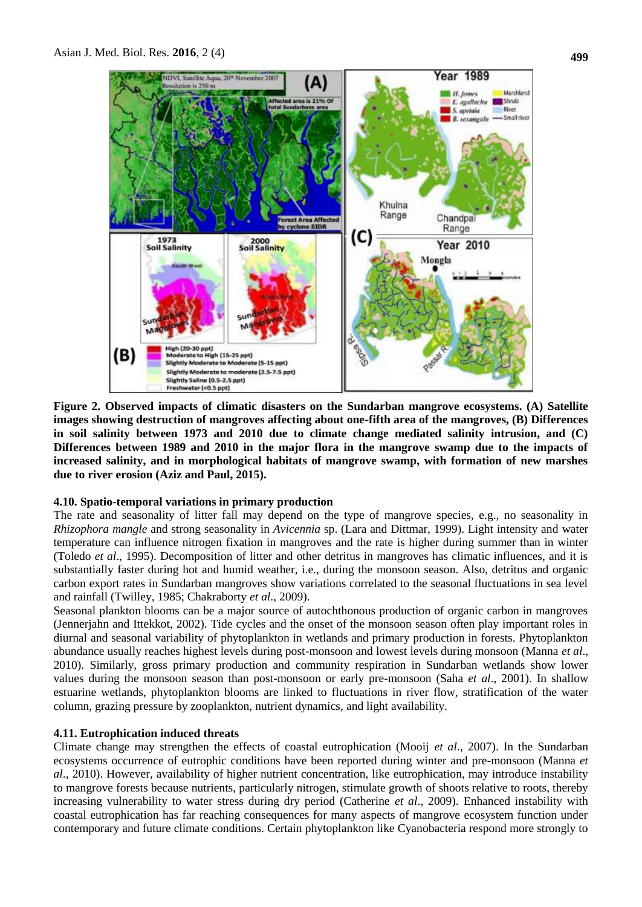

**Figure 2. Observed impacts of climatic disasters on the Sundarban mangrove ecosystems. (A) Satellite images showing destruction of mangroves affecting about one-fifth area of the mangroves, (B) Differences in soil salinity between 1973 and 2010 due to climate change mediated salinity intrusion, and (C) Differences between 1989 and 2010 in the major flora in the mangrove swamp due to the impacts of increased salinity, and in morphological habitats of mangrove swamp, with formation of new marshes due to river erosion (Aziz and Paul, 2015).** 

## **4.10. Spatio-temporal variations in primary production**

The rate and seasonality of litter fall may depend on the type of mangrove species, e.g., no seasonality in *Rhizophora mangle* and strong seasonality in *Avicennia* sp. (Lara and Dittmar, 1999). Light intensity and water temperature can influence nitrogen fixation in mangroves and the rate is higher during summer than in winter (Toledo *et al*., 1995). Decomposition of litter and other detritus in mangroves has climatic influences, and it is substantially faster during hot and humid weather, i.e., during the monsoon season. Also, detritus and organic carbon export rates in Sundarban mangroves show variations correlated to the seasonal fluctuations in sea level and rainfall (Twilley, 1985; Chakraborty *et al*., 2009).

Seasonal plankton blooms can be a major source of autochthonous production of organic carbon in mangroves (Jennerjahn and Ittekkot, 2002). Tide cycles and the onset of the monsoon season often play important roles in diurnal and seasonal variability of phytoplankton in wetlands and primary production in forests. Phytoplankton abundance usually reaches highest levels during post-monsoon and lowest levels during monsoon (Manna *et al*., 2010). Similarly, gross primary production and community respiration in Sundarban wetlands show lower values during the monsoon season than post-monsoon or early pre-monsoon (Saha *et al*., 2001). In shallow estuarine wetlands, phytoplankton blooms are linked to fluctuations in river flow, stratification of the water column, grazing pressure by zooplankton, nutrient dynamics, and light availability.

## **4.11. Eutrophication induced threats**

Climate change may strengthen the effects of coastal eutrophication (Mooij *et al*., 2007). In the Sundarban ecosystems occurrence of eutrophic conditions have been reported during winter and pre-monsoon (Manna *et al*., 2010). However, availability of higher nutrient concentration, like eutrophication, may introduce instability to mangrove forests because nutrients, particularly nitrogen, stimulate growth of shoots relative to roots, thereby increasing vulnerability to water stress during dry period (Catherine *et al*., 2009). Enhanced instability with coastal eutrophication has far reaching consequences for many aspects of mangrove ecosystem function under contemporary and future climate conditions. Certain phytoplankton like Cyanobacteria respond more strongly to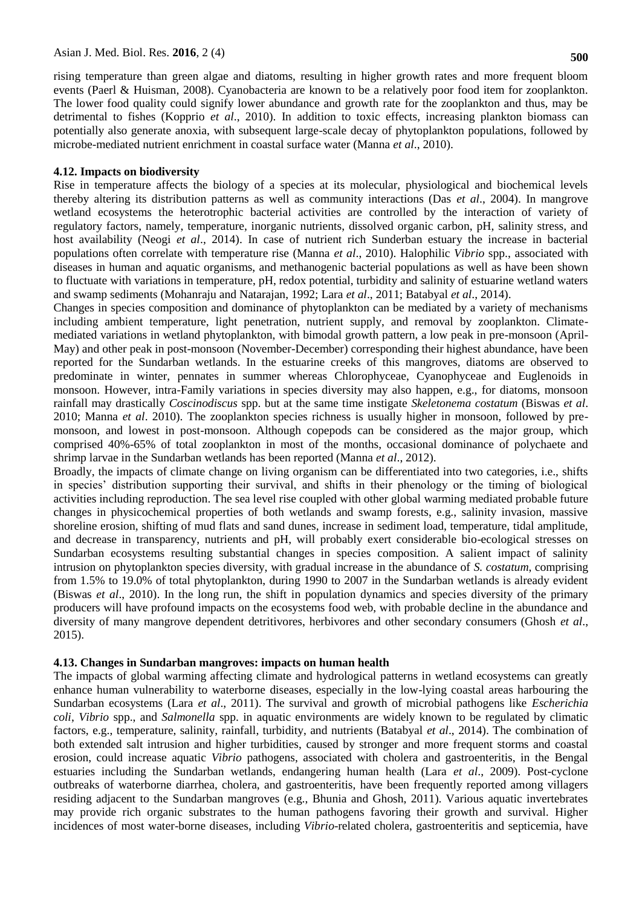rising temperature than green algae and diatoms, resulting in higher growth rates and more frequent bloom events (Paerl & Huisman, 2008). Cyanobacteria are known to be a relatively poor food item for zooplankton. The lower food quality could signify lower abundance and growth rate for the zooplankton and thus, may be detrimental to fishes (Kopprio *et al*., 2010). In addition to toxic effects, increasing plankton biomass can potentially also generate anoxia, with subsequent large-scale decay of phytoplankton populations, followed by microbe-mediated nutrient enrichment in coastal surface water (Manna *et al*., 2010).

#### **4.12. Impacts on biodiversity**

Rise in temperature affects the biology of a species at its molecular, physiological and biochemical levels thereby altering its distribution patterns as well as community interactions (Das *et al*., 2004). In mangrove wetland ecosystems the heterotrophic bacterial activities are controlled by the interaction of variety of regulatory factors, namely, temperature, inorganic nutrients, dissolved organic carbon, pH, salinity stress, and host availability (Neogi *et al*., 2014). In case of nutrient rich Sunderban estuary the increase in bacterial populations often correlate with temperature rise (Manna *et al*., 2010). Halophilic *Vibrio* spp., associated with diseases in human and aquatic organisms, and methanogenic bacterial populations as well as have been shown to fluctuate with variations in temperature, pH, redox potential, turbidity and salinity of estuarine wetland waters and swamp sediments (Mohanraju and Natarajan, 1992; Lara *et al*., 2011; Batabyal *et al*., 2014).

Changes in species composition and dominance of phytoplankton can be mediated by a variety of mechanisms including ambient temperature, light penetration, nutrient supply, and removal by zooplankton. Climatemediated variations in wetland phytoplankton, with bimodal growth pattern, a low peak in pre-monsoon (April-May) and other peak in post-monsoon (November-December) corresponding their highest abundance, have been reported for the Sundarban wetlands. In the estuarine creeks of this mangroves, diatoms are observed to predominate in winter, pennates in summer whereas Chlorophyceae, Cyanophyceae and Euglenoids in monsoon. However, intra-Family variations in species diversity may also happen, e.g., for diatoms, monsoon rainfall may drastically *Coscinodiscus* spp. but at the same time instigate *Skeletonema costatum* (Biswas *et al*. 2010; Manna *et al*. 2010). The zooplankton species richness is usually higher in monsoon, followed by premonsoon, and lowest in post-monsoon. Although copepods can be considered as the major group, which comprised 40%-65% of total zooplankton in most of the months, occasional dominance of polychaete and shrimp larvae in the Sundarban wetlands has been reported (Manna *et al*., 2012).

Broadly, the impacts of climate change on living organism can be differentiated into two categories, i.e., shifts in species' distribution supporting their survival, and shifts in their phenology or the timing of biological activities including reproduction. The sea level rise coupled with other global warming mediated probable future changes in physicochemical properties of both wetlands and swamp forests, e.g., salinity invasion, massive shoreline erosion, shifting of mud flats and sand dunes, increase in sediment load, temperature, tidal amplitude, and decrease in transparency, nutrients and pH, will probably exert considerable bio-ecological stresses on Sundarban ecosystems resulting substantial changes in species composition. A salient impact of salinity intrusion on phytoplankton species diversity, with gradual increase in the abundance of *S. costatum*, comprising from 1.5% to 19.0% of total phytoplankton, during 1990 to 2007 in the Sundarban wetlands is already evident (Biswas *et al*., 2010). In the long run, the shift in population dynamics and species diversity of the primary producers will have profound impacts on the ecosystems food web, with probable decline in the abundance and diversity of many mangrove dependent detritivores, herbivores and other secondary consumers (Ghosh *et al*., 2015).

## **4.13. Changes in Sundarban mangroves: impacts on human health**

The impacts of global warming affecting climate and hydrological patterns in wetland ecosystems can greatly enhance human vulnerability to waterborne diseases, especially in the low-lying coastal areas harbouring the Sundarban ecosystems (Lara *et al*., 2011). The survival and growth of microbial pathogens like *Escherichia coli*, *Vibrio* spp., and *Salmonella* spp. in aquatic environments are widely known to be regulated by climatic factors, e.g., temperature, salinity, rainfall, turbidity, and nutrients (Batabyal *et al*., 2014). The combination of both extended salt intrusion and higher turbidities, caused by stronger and more frequent storms and coastal erosion, could increase aquatic *Vibrio* pathogens, associated with cholera and gastroenteritis, in the Bengal estuaries including the Sundarban wetlands, endangering human health (Lara *et al*., 2009). Post-cyclone outbreaks of waterborne diarrhea, cholera, and gastroenteritis, have been frequently reported among villagers residing adjacent to the Sundarban mangroves (e.g., Bhunia and Ghosh, 2011). Various aquatic invertebrates may provide rich organic substrates to the human pathogens favoring their growth and survival. Higher incidences of most water-borne diseases, including *Vibrio*-related cholera, gastroenteritis and septicemia, have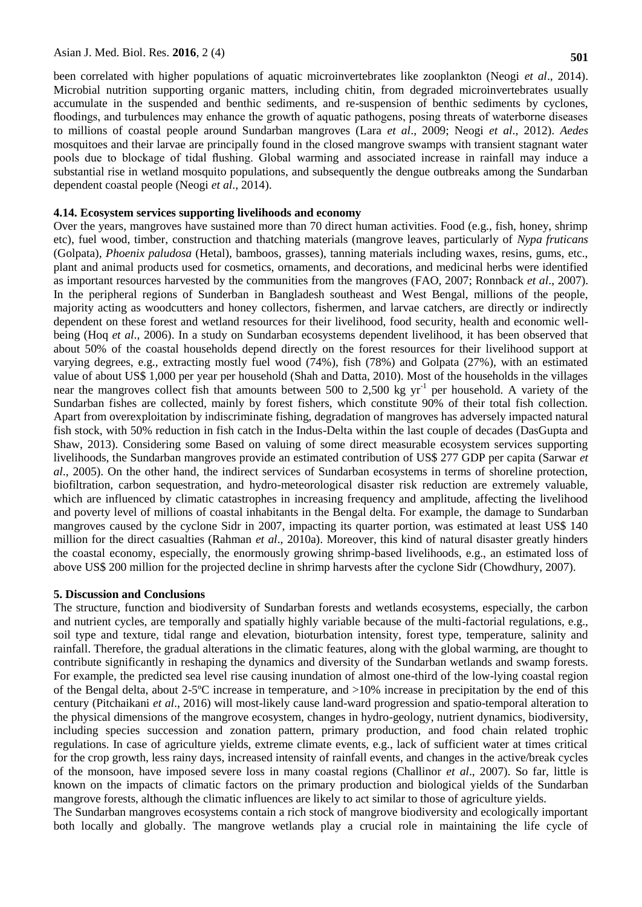been correlated with higher populations of aquatic microinvertebrates like zooplankton (Neogi *et al*., 2014). Microbial nutrition supporting organic matters, including chitin, from degraded microinvertebrates usually accumulate in the suspended and benthic sediments, and re-suspension of benthic sediments by cyclones, floodings, and turbulences may enhance the growth of aquatic pathogens, posing threats of waterborne diseases to millions of coastal people around Sundarban mangroves (Lara *et al*., 2009; Neogi *et al*., 2012). *Aedes* mosquitoes and their larvae are principally found in the closed mangrove swamps with transient stagnant water pools due to blockage of tidal flushing. Global warming and associated increase in rainfall may induce a substantial rise in wetland mosquito populations, and subsequently the dengue outbreaks among the Sundarban dependent coastal people (Neogi *et al*., 2014).

#### **4.14. Ecosystem services supporting livelihoods and economy**

Over the years, mangroves have sustained more than 70 direct human activities. Food (e.g., fish, honey, shrimp etc), fuel wood, timber, construction and thatching materials (mangrove leaves, particularly of *Nypa fruticans* (Golpata), *Phoenix paludosa* (Hetal), bamboos, grasses), tanning materials including waxes, resins, gums, etc., plant and animal products used for cosmetics, ornaments, and decorations, and medicinal herbs were identified as important resources harvested by the communities from the mangroves (FAO, 2007; Ronnback *et al*., 2007). In the peripheral regions of Sunderban in Bangladesh southeast and West Bengal, millions of the people, majority acting as woodcutters and honey collectors, fishermen, and larvae catchers, are directly or indirectly dependent on these forest and wetland resources for their livelihood, food security, health and economic wellbeing (Hoq *et al*., 2006). In a study on Sundarban ecosystems dependent livelihood, it has been observed that about 50% of the coastal households depend directly on the forest resources for their livelihood support at varying degrees, e.g., extracting mostly fuel wood (74%), fish (78%) and Golpata (27%), with an estimated value of about US\$ 1,000 per year per household (Shah and Datta, 2010). Most of the households in the villages near the mangroves collect fish that amounts between 500 to 2,500 kg yr<sup>-1</sup> per household. A variety of the Sundarban fishes are collected, mainly by forest fishers, which constitute 90% of their total fish collection. Apart from overexploitation by indiscriminate fishing, degradation of mangroves has adversely impacted natural fish stock, with 50% reduction in fish catch in the Indus-Delta within the last couple of decades (DasGupta and Shaw, 2013). Considering some Based on valuing of some direct measurable ecosystem services supporting livelihoods, the Sundarban mangroves provide an estimated contribution of US\$ 277 GDP per capita (Sarwar *et al*., 2005). On the other hand, the indirect services of Sundarban ecosystems in terms of shoreline protection, biofiltration, carbon sequestration, and hydro-meteorological disaster risk reduction are extremely valuable, which are influenced by climatic catastrophes in increasing frequency and amplitude, affecting the livelihood and poverty level of millions of coastal inhabitants in the Bengal delta. For example, the damage to Sundarban mangroves caused by the cyclone Sidr in 2007, impacting its quarter portion, was estimated at least US\$ 140 million for the direct casualties (Rahman *et al*., 2010a). Moreover, this kind of natural disaster greatly hinders the coastal economy, especially, the enormously growing shrimp-based livelihoods, e.g., an estimated loss of above US\$ 200 million for the projected decline in shrimp harvests after the cyclone Sidr (Chowdhury, 2007).

#### **5. Discussion and Conclusions**

The structure, function and biodiversity of Sundarban forests and wetlands ecosystems, especially, the carbon and nutrient cycles, are temporally and spatially highly variable because of the multi-factorial regulations, e.g., soil type and texture, tidal range and elevation, bioturbation intensity, forest type, temperature, salinity and rainfall. Therefore, the gradual alterations in the climatic features, along with the global warming, are thought to contribute significantly in reshaping the dynamics and diversity of the Sundarban wetlands and swamp forests. For example, the predicted sea level rise causing inundation of almost one-third of the low-lying coastal region of the Bengal delta, about 2-5ºC increase in temperature, and >10% increase in precipitation by the end of this century (Pitchaikani *et al*., 2016) will most-likely cause land-ward progression and spatio-temporal alteration to the physical dimensions of the mangrove ecosystem, changes in hydro-geology, nutrient dynamics, biodiversity, including species succession and zonation pattern, primary production, and food chain related trophic regulations. In case of agriculture yields, extreme climate events, e.g., lack of sufficient water at times critical for the crop growth, less rainy days, increased intensity of rainfall events, and changes in the active/break cycles of the monsoon, have imposed severe loss in many coastal regions (Challinor *et al*., 2007). So far, little is known on the impacts of climatic factors on the primary production and biological yields of the Sundarban mangrove forests, although the climatic influences are likely to act similar to those of agriculture yields.

The Sundarban mangroves ecosystems contain a rich stock of mangrove biodiversity and ecologically important both locally and globally. The mangrove wetlands play a crucial role in maintaining the life cycle of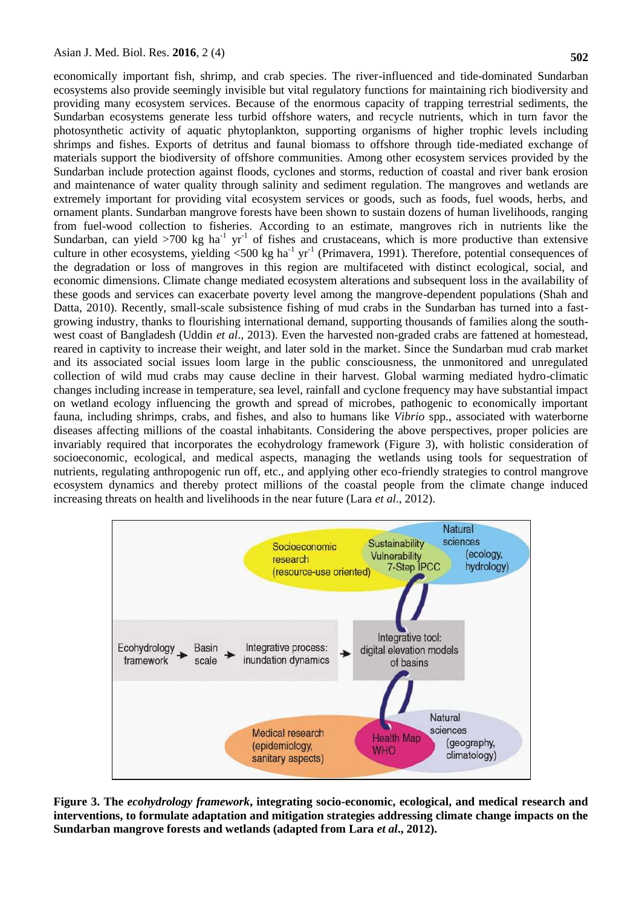economically important fish, shrimp, and crab species. The river-influenced and tide-dominated Sundarban ecosystems also provide seemingly invisible but vital regulatory functions for maintaining rich biodiversity and providing many ecosystem services. Because of the enormous capacity of trapping terrestrial sediments, the Sundarban ecosystems generate less turbid offshore waters, and recycle nutrients, which in turn favor the photosynthetic activity of aquatic phytoplankton, supporting organisms of higher trophic levels including shrimps and fishes. Exports of detritus and faunal biomass to offshore through tide-mediated exchange of materials support the biodiversity of offshore communities. Among other ecosystem services provided by the Sundarban include protection against floods, cyclones and storms, reduction of coastal and river bank erosion and maintenance of water quality through salinity and sediment regulation. The mangroves and wetlands are extremely important for providing vital ecosystem services or goods, such as foods, fuel woods, herbs, and ornament plants. Sundarban mangrove forests have been shown to sustain dozens of human livelihoods, ranging from fuel-wood collection to fisheries. According to an estimate, mangroves rich in nutrients like the Sundarban, can yield  $>700$  kg ha<sup>-1</sup> yr<sup>-1</sup> of fishes and crustaceans, which is more productive than extensive culture in other ecosystems, yielding  $<500$  kg ha<sup>-1</sup> yr<sup>-1</sup> (Primavera, 1991). Therefore, potential consequences of the degradation or loss of mangroves in this region are multifaceted with distinct ecological, social, and economic dimensions. Climate change mediated ecosystem alterations and subsequent loss in the availability of these goods and services can exacerbate poverty level among the mangrove-dependent populations (Shah and Datta, 2010). Recently, small-scale subsistence fishing of mud crabs in the Sundarban has turned into a fastgrowing industry, thanks to flourishing international demand, supporting thousands of families along the southwest coast of Bangladesh (Uddin *et al*., 2013). Even the harvested non-graded crabs are fattened at homestead, reared in captivity to increase their weight, and later sold in the market. Since the Sundarban mud crab market and its associated social issues loom large in the public consciousness, the unmonitored and unregulated collection of wild mud crabs may cause decline in their harvest. Global warming mediated hydro-climatic changes including increase in temperature, sea level, rainfall and cyclone frequency may have substantial impact on wetland ecology influencing the growth and spread of microbes, pathogenic to economically important fauna, including shrimps, crabs, and fishes, and also to humans like *Vibrio* spp., associated with waterborne diseases affecting millions of the coastal inhabitants. Considering the above perspectives, proper policies are invariably required that incorporates the ecohydrology framework (Figure 3), with holistic consideration of socioeconomic, ecological, and medical aspects, managing the wetlands using tools for sequestration of nutrients, regulating anthropogenic run off, etc., and applying other eco-friendly strategies to control mangrove ecosystem dynamics and thereby protect millions of the coastal people from the climate change induced increasing threats on health and livelihoods in the near future (Lara *et al*., 2012).



**Figure 3. The** *ecohydrology framework***, integrating socio-economic, ecological, and medical research and interventions, to formulate adaptation and mitigation strategies addressing climate change impacts on the Sundarban mangrove forests and wetlands (adapted from Lara** *et al***., 2012).**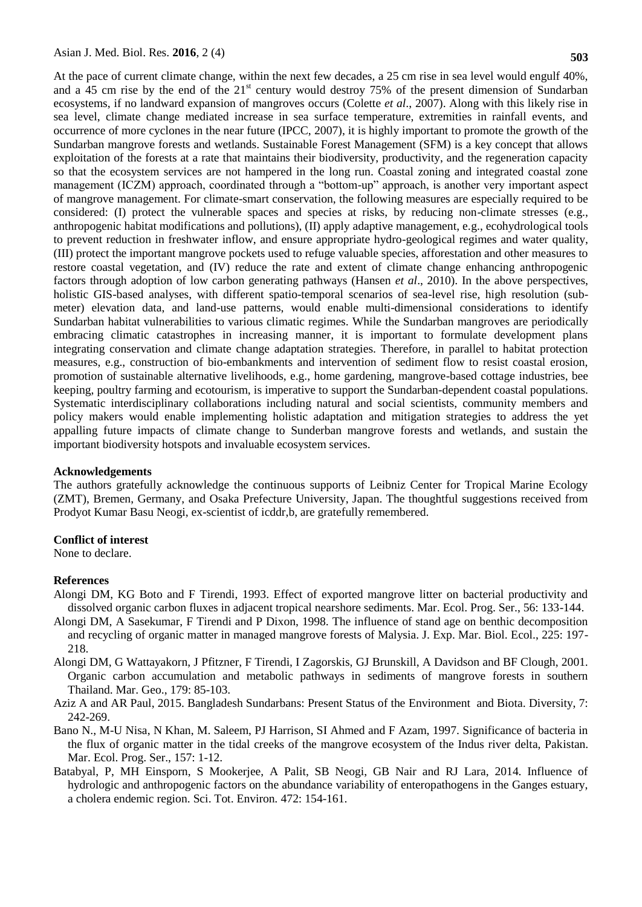At the pace of current climate change, within the next few decades, a 25 cm rise in sea level would engulf 40%, and a  $45$  cm rise by the end of the  $21<sup>st</sup>$  century would destroy 75% of the present dimension of Sundarban ecosystems, if no landward expansion of mangroves occurs (Colette *et al*., 2007). Along with this likely rise in sea level, climate change mediated increase in sea surface temperature, extremities in rainfall events, and occurrence of more cyclones in the near future (IPCC, 2007), it is highly important to promote the growth of the Sundarban mangrove forests and wetlands. Sustainable Forest Management (SFM) is a key concept that allows exploitation of the forests at a rate that maintains their biodiversity, productivity, and the regeneration capacity so that the ecosystem services are not hampered in the long run. Coastal zoning and integrated coastal zone management (ICZM) approach, coordinated through a "bottom-up" approach, is another very important aspect of mangrove management. For climate-smart conservation, the following measures are especially required to be considered: (I) protect the vulnerable spaces and species at risks, by reducing non-climate stresses (e.g., anthropogenic habitat modifications and pollutions), (II) apply adaptive management, e.g., ecohydrological tools to prevent reduction in freshwater inflow, and ensure appropriate hydro-geological regimes and water quality, (III) protect the important mangrove pockets used to refuge valuable species, afforestation and other measures to restore coastal vegetation, and (IV) reduce the rate and extent of climate change enhancing anthropogenic factors through adoption of low carbon generating pathways (Hansen *et al*., 2010). In the above perspectives, holistic GIS-based analyses, with different spatio-temporal scenarios of sea-level rise, high resolution (submeter) elevation data, and land-use patterns, would enable multi-dimensional considerations to identify Sundarban habitat vulnerabilities to various climatic regimes. While the Sundarban mangroves are periodically embracing climatic catastrophes in increasing manner, it is important to formulate development plans integrating conservation and climate change adaptation strategies. Therefore, in parallel to habitat protection measures, e.g., construction of bio-embankments and intervention of sediment flow to resist coastal erosion, promotion of sustainable alternative livelihoods, e.g., home gardening, mangrove-based cottage industries, bee keeping, poultry farming and ecotourism, is imperative to support the Sundarban-dependent coastal populations. Systematic interdisciplinary collaborations including natural and social scientists, community members and policy makers would enable implementing holistic adaptation and mitigation strategies to address the yet appalling future impacts of climate change to Sunderban mangrove forests and wetlands, and sustain the important biodiversity hotspots and invaluable ecosystem services.

#### **Acknowledgements**

The authors gratefully acknowledge the continuous supports of Leibniz Center for Tropical Marine Ecology (ZMT), Bremen, Germany, and Osaka Prefecture University, Japan. The thoughtful suggestions received from Prodyot Kumar Basu Neogi, ex-scientist of icddr,b, are gratefully remembered.

#### **Conflict of interest**

None to declare.

#### **References**

- Alongi DM, KG Boto and F Tirendi, 1993. Effect of exported mangrove litter on bacterial productivity and dissolved organic carbon fluxes in adjacent tropical nearshore sediments. Mar. Ecol. Prog. Ser., 56: 133-144.
- Alongi DM, A Sasekumar, F Tirendi and P Dixon, 1998. The influence of stand age on benthic decomposition and recycling of organic matter in managed mangrove forests of Malysia. J. Exp. Mar. Biol. Ecol., 225: 197- 218.
- Alongi DM, G Wattayakorn, J Pfitzner, F Tirendi, I Zagorskis, GJ Brunskill, A Davidson and BF Clough, 2001. Organic carbon accumulation and metabolic pathways in sediments of mangrove forests in southern Thailand. Mar. Geo., 179: 85-103.
- Aziz A and AR Paul, 2015. Bangladesh Sundarbans: Present Status of the Environment and Biota. Diversity, 7: 242-269.
- Bano N., M-U Nisa, N Khan, M. Saleem, PJ Harrison, SI Ahmed and F Azam, 1997. Significance of bacteria in the flux of organic matter in the tidal creeks of the mangrove ecosystem of the Indus river delta, Pakistan. Mar. Ecol. Prog. Ser., 157: 1-12.
- Batabyal, P, MH Einsporn, S Mookerjee, A Palit, SB Neogi, GB Nair and RJ Lara, 2014. Influence of hydrologic and anthropogenic factors on the abundance variability of enteropathogens in the Ganges estuary, a cholera endemic region. Sci. Tot. Environ*.* 472: 154-161.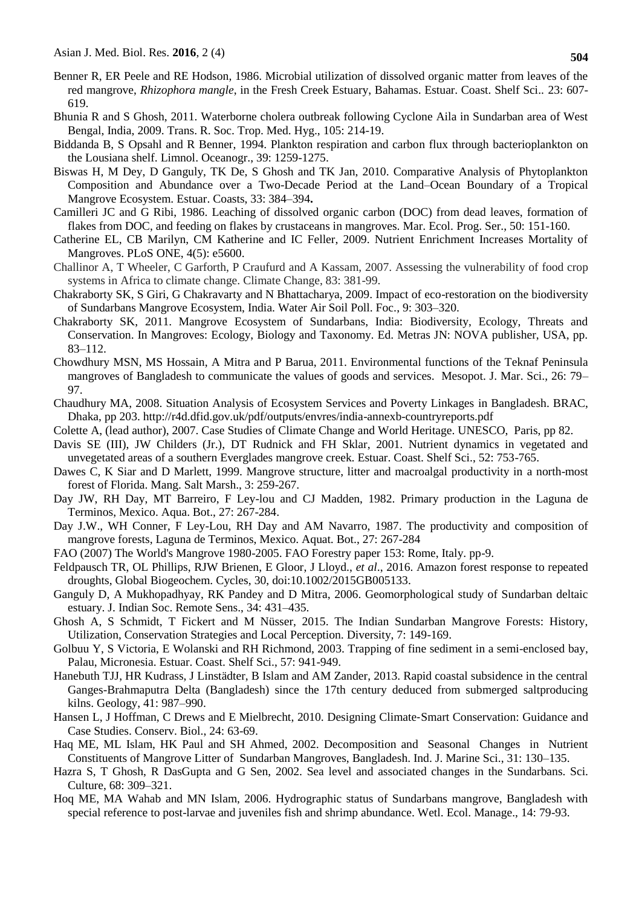- Benner R, ER Peele and RE Hodson, 1986. Microbial utilization of dissolved organic matter from leaves of the red mangrove, *Rhizophora mangle*, in the Fresh Creek Estuary, Bahamas. Estuar. Coast. Shelf Sci.. 23: 607- 619.
- Bhunia R and S Ghosh, 2011. Waterborne cholera outbreak following Cyclone Aila in Sundarban area of West Bengal, India, 2009. Trans. R. Soc. Trop. Med. Hyg., 105: 214-19.
- Biddanda B, S Opsahl and R Benner, 1994. Plankton respiration and carbon flux through bacterioplankton on the Lousiana shelf. Limnol. Oceanogr., 39: 1259-1275.
- Biswas H, M Dey, D Ganguly, TK De, S Ghosh and TK Jan, 2010. Comparative Analysis of Phytoplankton Composition and Abundance over a Two-Decade Period at the Land–Ocean Boundary of a Tropical Mangrove Ecosystem. Estuar. Coasts, 33: 384–394**.**
- Camilleri JC and G Ribi, 1986. Leaching of dissolved organic carbon (DOC) from dead leaves, formation of flakes from DOC, and feeding on flakes by crustaceans in mangroves. Mar. Ecol. Prog. Ser., 50: 151-160.
- Catherine EL, CB Marilyn, CM Katherine and IC Feller, 2009. Nutrient Enrichment Increases Mortality of Mangroves. PLoS ONE, 4(5): e5600.
- Challinor A, T Wheeler, C Garforth, P Craufurd and A Kassam, 2007. Assessing the vulnerability of food crop systems in Africa to climate change. Climate Change, 83: 381-99.
- Chakraborty SK, S Giri, G Chakravarty and N Bhattacharya, 2009. Impact of eco-restoration on the biodiversity of Sundarbans Mangrove Ecosystem, India. Water Air Soil Poll. Foc., 9: 303–320.
- Chakraborty SK, 2011. Mangrove Ecosystem of Sundarbans, India: Biodiversity, Ecology, Threats and Conservation. In Mangroves: Ecology, Biology and Taxonomy. Ed. Metras JN: NOVA publisher, USA, pp. 83–112.
- Chowdhury MSN, MS Hossain, A Mitra and P Barua, 2011. Environmental functions of the Teknaf Peninsula mangroves of Bangladesh to communicate the values of goods and services. Mesopot. J. Mar. Sci., 26: 79– 97.
- Chaudhury MA, 2008. Situation Analysis of Ecosystem Services and Poverty Linkages in Bangladesh. BRAC, Dhaka, pp 203. http://r4d.dfid.gov.uk/pdf/outputs/envres/india-annexb-countryreports.pdf
- Colette A, (lead author), 2007. Case Studies of Climate Change and World Heritage. UNESCO, Paris, pp 82.
- Davis SE (III), JW Childers (Jr.), DT Rudnick and FH Sklar, 2001. Nutrient dynamics in vegetated and unvegetated areas of a southern Everglades mangrove creek. Estuar. Coast. Shelf Sci., 52: 753-765.
- Dawes C, K Siar and D Marlett, 1999. Mangrove structure, litter and macroalgal productivity in a north-most forest of Florida. Mang. Salt Marsh., 3: 259-267.
- Day JW, RH Day, MT Barreiro, F Ley-lou and CJ Madden, 1982. Primary production in the Laguna de Terminos, Mexico. Aqua. Bot., 27: 267-284.
- Day J.W., WH Conner, F Ley-Lou, RH Day and AM Navarro, 1987. The productivity and composition of mangrove forests, Laguna de Terminos, Mexico. Aquat. Bot., 27: 267-284
- FAO (2007) The World's Mangrove 1980-2005. FAO Forestry paper 153: Rome, Italy. pp-9.
- Feldpausch TR, OL Phillips, RJW Brienen, E Gloor, J Lloyd., *et al*., 2016. Amazon forest response to repeated droughts, Global Biogeochem. Cycles, 30, doi:10.1002/2015GB005133.
- Ganguly D, A Mukhopadhyay, RK Pandey and D Mitra, 2006. Geomorphological study of Sundarban deltaic estuary. J. Indian Soc. Remote Sens., 34: 431–435.
- Ghosh A, S Schmidt, T Fickert and M Nüsser, 2015. The Indian Sundarban Mangrove Forests: History, Utilization, Conservation Strategies and Local Perception. Diversity, 7: 149-169.
- Golbuu Y, S Victoria, E Wolanski and RH Richmond, 2003. Trapping of fine sediment in a semi-enclosed bay, Palau, Micronesia. Estuar. Coast. Shelf Sci., 57: 941-949.
- Hanebuth TJJ, HR Kudrass, J Linstädter, B Islam and AM Zander, 2013. Rapid coastal subsidence in the central Ganges-Brahmaputra Delta (Bangladesh) since the 17th century deduced from submerged saltproducing kilns. Geology, 41: 987–990.
- Hansen L, J Hoffman, C Drews and E Mielbrecht, 2010. Designing Climate‐Smart Conservation: Guidance and Case Studies. Conserv. Biol., 24: 63-69.
- Haq ME, ML Islam, HK Paul and SH Ahmed, 2002. Decomposition and Seasonal Changes in Nutrient Constituents of Mangrove Litter of Sundarban Mangroves, Bangladesh. Ind. J. Marine Sci., 31: 130–135.
- Hazra S, T Ghosh, R DasGupta and G Sen, 2002. Sea level and associated changes in the Sundarbans. Sci. Culture, 68: 309–321.
- Hoq ME, MA Wahab and MN Islam, 2006. Hydrographic status of Sundarbans mangrove, Bangladesh with special reference to post-larvae and juveniles fish and shrimp abundance. Wetl. Ecol. Manage., 14: 79-93.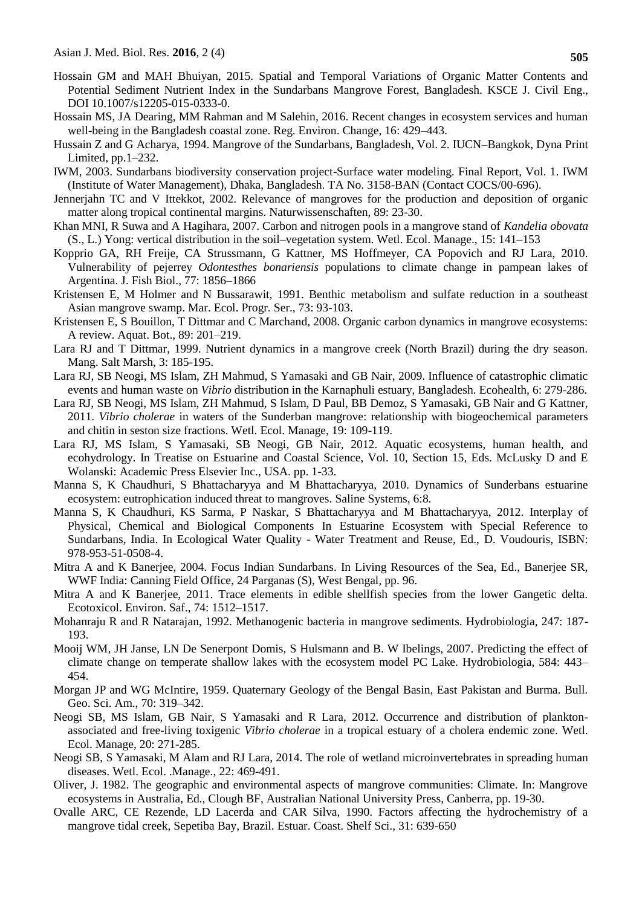- Hossain GM and MAH Bhuiyan, 2015. Spatial and Temporal Variations of Organic Matter Contents and Potential Sediment Nutrient Index in the Sundarbans Mangrove Forest, Bangladesh. KSCE J. Civil Eng., DOI 10.1007/s12205-015-0333-0.
- Hossain MS, JA Dearing, MM Rahman and M Salehin, 2016. Recent changes in ecosystem services and human well-being in the Bangladesh coastal zone. Reg. Environ. Change, 16: 429–443.
- Hussain Z and G Acharya, 1994. Mangrove of the Sundarbans, Bangladesh, Vol. 2. IUCN–Bangkok, Dyna Print Limited, pp.1–232.
- IWM, 2003. Sundarbans biodiversity conservation project-Surface water modeling. Final Report, Vol. 1. IWM (Institute of Water Management), Dhaka, Bangladesh. TA No. 3158-BAN (Contact COCS/00-696).
- Jennerjahn TC and V Ittekkot, 2002. Relevance of mangroves for the production and deposition of organic matter along tropical continental margins. Naturwissenschaften, 89: 23-30.
- Khan MNI, R Suwa and A Hagihara, 2007. Carbon and nitrogen pools in a mangrove stand of *Kandelia obovata* (S., L.) Yong: vertical distribution in the soil–vegetation system. Wetl. Ecol. Manage., 15: 141–153
- Kopprio GA, RH Freije, CA Strussmann, G Kattner, MS Hoffmeyer, CA Popovich and RJ Lara, 2010. Vulnerability of pejerrey *Odontesthes bonariensis* populations to climate change in pampean lakes of Argentina. J. Fish Biol., 77: 1856–1866
- Kristensen E, M Holmer and N Bussarawit, 1991. Benthic metabolism and sulfate reduction in a southeast Asian mangrove swamp. Mar. Ecol. Progr. Ser., 73: 93-103.
- Kristensen E, S Bouillon, T Dittmar and C Marchand, 2008. Organic carbon dynamics in mangrove ecosystems: A review. Aquat. Bot., 89: 201–219.
- Lara RJ and T Dittmar, 1999. Nutrient dynamics in a mangrove creek (North Brazil) during the dry season. Mang. Salt Marsh, 3: 185-195.
- Lara RJ, SB Neogi, MS Islam, ZH Mahmud, S Yamasaki and GB Nair, 2009. Influence of catastrophic climatic events and human waste on *Vibrio* distribution in the Karnaphuli estuary, Bangladesh. Ecohealth*,* 6: 279-286.
- Lara RJ, SB Neogi, MS Islam, ZH Mahmud, S Islam, D Paul, BB Demoz, S Yamasaki, GB Nair and G Kattner, 2011. *Vibrio cholerae* in waters of the Sunderban mangrove: relationship with biogeochemical parameters and chitin in seston size fractions. Wetl. Ecol. Manage, 19: 109-119.
- Lara RJ, MS Islam, S Yamasaki, SB Neogi, GB Nair, 2012. Aquatic ecosystems, human health, and ecohydrology. In Treatise on Estuarine and Coastal Science, Vol. 10, Section 15, Eds. McLusky D and E Wolanski: Academic Press Elsevier Inc., USA. pp. 1-33.
- Manna S, K Chaudhuri, S Bhattacharyya and M Bhattacharyya, 2010. Dynamics of Sunderbans estuarine ecosystem: eutrophication induced threat to mangroves. Saline Systems, 6:8.
- Manna S, K Chaudhuri, KS Sarma, P Naskar, S Bhattacharyya and M Bhattacharyya, 2012. Interplay of Physical, Chemical and Biological Components In Estuarine Ecosystem with Special Reference to Sundarbans, India. In Ecological Water Quality - Water Treatment and Reuse, Ed., D. Voudouris, ISBN: 978-953-51-0508-4.
- Mitra A and K Banerjee, 2004. Focus Indian Sundarbans. In Living Resources of the Sea, Ed., Banerjee SR, WWF India: Canning Field Office, 24 Parganas (S), West Bengal, pp. 96.
- Mitra A and K Banerjee, 2011. Trace elements in edible shellfish species from the lower Gangetic delta. Ecotoxicol. Environ. Saf., 74: 1512–1517.
- Mohanraju R and R Natarajan, 1992. Methanogenic bacteria in mangrove sediments. Hydrobiologia, 247: 187- 193.
- Mooij WM, JH Janse, LN De Senerpont Domis, S Hulsmann and B. W Ibelings, 2007. Predicting the effect of climate change on temperate shallow lakes with the ecosystem model PC Lake. Hydrobiologia, 584: 443– 454.
- Morgan JP and WG McIntire, 1959. Quaternary Geology of the Bengal Basin, East Pakistan and Burma. Bull. Geo. Sci. Am., 70: 319–342.
- Neogi SB, MS Islam, GB Nair, S Yamasaki and R Lara, 2012. Occurrence and distribution of planktonassociated and free-living toxigenic *Vibrio cholerae* in a tropical estuary of a cholera endemic zone. Wetl. Ecol. Manage, 20: 271-285.
- Neogi SB, S Yamasaki, M Alam and RJ Lara, 2014. The role of wetland microinvertebrates in spreading human diseases. Wetl. Ecol. .Manage*.*, 22: 469-491.
- Oliver, J. 1982. The geographic and environmental aspects of mangrove communities: Climate. In: Mangrove ecosystems in Australia, Ed., Clough BF, Australian National University Press, Canberra, pp. 19-30.
- Ovalle ARC, CE Rezende, LD Lacerda and CAR Silva, 1990. Factors affecting the hydrochemistry of a mangrove tidal creek, Sepetiba Bay, Brazil. Estuar. Coast. Shelf Sci., 31: 639-650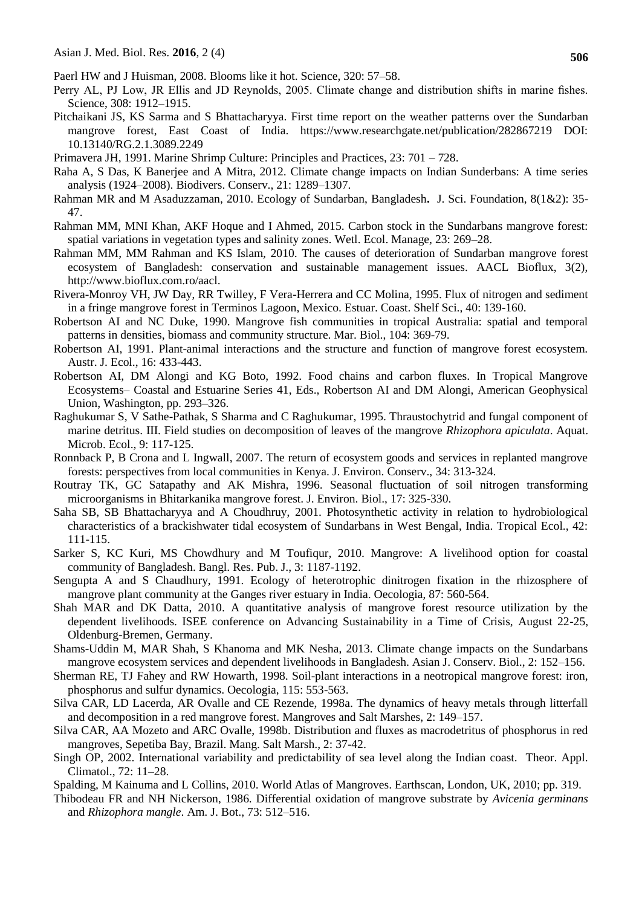- Paerl HW and J Huisman, 2008. Blooms like it hot. Science, 320: 57–58.
- Perry AL, PJ Low, JR Ellis and JD Reynolds, 2005. Climate change and distribution shifts in marine fishes. Science, 308: 1912–1915.
- Pitchaikani JS, KS Sarma and S Bhattacharyya. First time report on the weather patterns over the Sundarban mangrove forest, East Coast of India. https://www.researchgate.net/publication/282867219 DOI: 10.13140/RG.2.1.3089.2249
- Primavera JH, 1991. Marine Shrimp Culture: Principles and Practices, 23: 701 728.
- Raha A, S Das, K Banerjee and A Mitra, 2012. Climate change impacts on Indian Sunderbans: A time series analysis (1924–2008). Biodivers. Conserv., 21: 1289–1307.
- Rahman MR and M Asaduzzaman, 2010. Ecology of Sundarban, Bangladesh**.** J. Sci. Foundation, 8(1&2): 35- 47.
- Rahman MM, MNI Khan, AKF Hoque and I Ahmed, 2015. Carbon stock in the Sundarbans mangrove forest: spatial variations in vegetation types and salinity zones. Wetl. Ecol. Manage, 23: 269–28.
- Rahman MM, MM Rahman and KS Islam, 2010. The causes of deterioration of Sundarban mangrove forest ecosystem of Bangladesh: conservation and sustainable management issues. AACL Bioflux, 3(2), http://www.bioflux.com.ro/aacl.
- Rivera-Monroy VH, JW Day, RR Twilley, F Vera-Herrera and CC Molina, 1995. Flux of nitrogen and sediment in a fringe mangrove forest in Terminos Lagoon, Mexico. Estuar. Coast. Shelf Sci., 40: 139-160.
- Robertson AI and NC Duke, 1990. Mangrove fish communities in tropical Australia: spatial and temporal patterns in densities, biomass and community structure. Mar. Biol., 104: 369-79.
- Robertson AI, 1991. Plant-animal interactions and the structure and function of mangrove forest ecosystem. Austr. J. Ecol., 16: 433-443.
- Robertson AI, DM Alongi and KG Boto, 1992. Food chains and carbon fluxes. In Tropical Mangrove Ecosystems– Coastal and Estuarine Series 41, Eds., Robertson AI and DM Alongi, American Geophysical Union, Washington, pp. 293–326.
- Raghukumar S, V Sathe-Pathak, S Sharma and C Raghukumar, 1995. Thraustochytrid and fungal component of marine detritus. III. Field studies on decomposition of leaves of the mangrove *Rhizophora apiculata*. Aquat. Microb. Ecol., 9: 117-125.
- Ronnback P, B Crona and L Ingwall, 2007. The return of ecosystem goods and services in replanted mangrove forests: perspectives from local communities in Kenya. J. Environ. Conserv., 34: 313-324.
- Routray TK, GC Satapathy and AK Mishra, 1996. Seasonal fluctuation of soil nitrogen transforming microorganisms in Bhitarkanika mangrove forest. J. Environ. Biol., 17: 325-330.
- Saha SB, SB Bhattacharyya and A Choudhruy, 2001. Photosynthetic activity in relation to hydrobiological characteristics of a brackishwater tidal ecosystem of Sundarbans in West Bengal, India. Tropical Ecol., 42: 111-115.
- Sarker S, KC Kuri, MS Chowdhury and M Toufiqur, 2010. Mangrove: A livelihood option for coastal community of Bangladesh. Bangl. Res. Pub. J., 3: 1187-1192.
- Sengupta A and S Chaudhury, 1991. Ecology of heterotrophic dinitrogen fixation in the rhizosphere of mangrove plant community at the Ganges river estuary in India. Oecologia, 87: 560-564.
- Shah MAR and DK Datta, 2010. A quantitative analysis of mangrove forest resource utilization by the dependent livelihoods. ISEE conference on Advancing Sustainability in a Time of Crisis, August 22-25, Oldenburg-Bremen, Germany.
- Shams-Uddin M, MAR Shah, S Khanoma and MK Nesha, 2013. Climate change impacts on the Sundarbans mangrove ecosystem services and dependent livelihoods in Bangladesh. Asian J. Conserv. Biol., 2: 152–156.
- Sherman RE, TJ Fahey and RW Howarth, 1998. Soil-plant interactions in a neotropical mangrove forest: iron, phosphorus and sulfur dynamics. Oecologia, 115: 553-563.
- Silva CAR, LD Lacerda, AR Ovalle and CE Rezende, 1998a. The dynamics of heavy metals through litterfall and decomposition in a red mangrove forest. Mangroves and Salt Marshes, 2: 149–157.
- Silva CAR, AA Mozeto and ARC Ovalle, 1998b. Distribution and fluxes as macrodetritus of phosphorus in red mangroves, Sepetiba Bay, Brazil. Mang. Salt Marsh., 2: 37-42.
- Singh OP, 2002. International variability and predictability of sea level along the Indian coast. Theor. Appl. Climatol., 72: 11–28.
- Spalding, M Kainuma and L Collins, 2010. World Atlas of Mangroves. Earthscan, London, UK, 2010; pp. 319.
- Thibodeau FR and NH Nickerson, 1986. Differential oxidation of mangrove substrate by *Avicenia germinans* and *Rhizophora mangle*. Am. J. Bot., 73: 512–516.